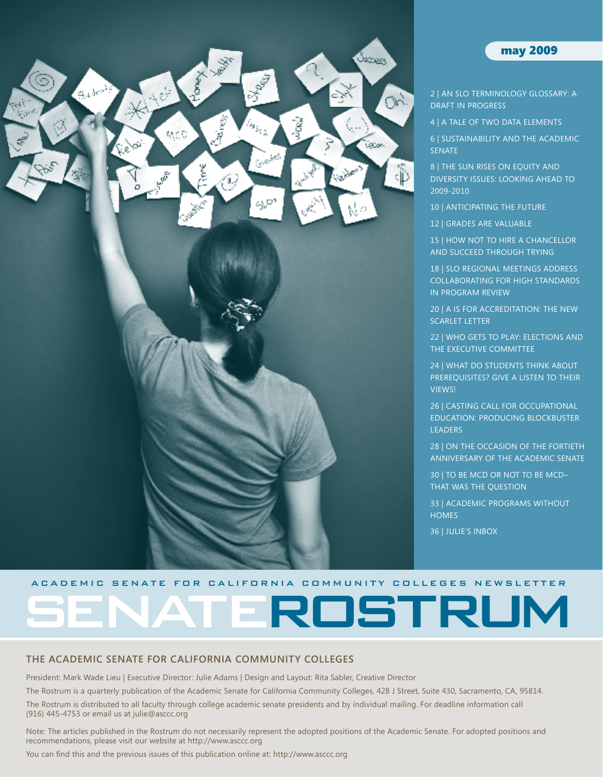

### may 2009

- [2 | An SLO Terminology Glossary: A](#page-1-0)  [Draft in Progress](#page-1-0)
- [4 | A Tale of Two Data](#page-3-0) Elements

[6 | Sustainability and](#page-5-0) the Academic **SENATE** 

8 | THE SUN RISES ON EQUITY AND [Diversity Issues: Looking Ahead](#page-7-0) to [2009-2010](#page-7-0)

[10 | Anticipating the Future](#page-9-0)

12 | Grades [are Valuable](#page-11-0)

15 | How Not to Hire a [Chancellor](#page-14-0)  [and Succeed Through Trying](#page-14-0)

18 | SLO Regional [Meetings Address](#page-17-0) [Collaborating for High Standards](#page-17-0) [in Program Review](#page-17-0)

20 | A IS FOR ACCREDITATION: THE NEW [Scarlet Letter](#page-19-0)

22 | Who Gets [to Play: Elections](#page-21-0) and [the Executive Committee](#page-21-0)

[24 | What Do Students Think About](#page-23-0) PREREQUISITES? GIVE A LISTEN TO THEIR [Views!](#page-23-0)

[26 | Casting Call for Occupational](#page-25-0) [Education: Producing Blockbuster](#page-25-0)  **LEADERS** 

[28 | On the Occasion of the Fortieth](#page-27-0)  [Anniversary of the Academic Senate](#page-27-0)

30 | To [Be MCD Or Not To](#page-29-0) Be MCD– That [Was The Question](#page-29-0)

[33 | Academic Programs without](#page-32-0) **HOMES** 

[36 | Julie's](#page-35-0) Inbox

#### A C A DEMIC SEN ATE FOR CALIFORNIA COMMUNITY COLLEGES NEWSLETTER

ROSTRUM

### **The Academic Senate for California Community Colleges**

President: Mark Wade Lieu | Executive Director: Julie Adams | Design and Layout: Rita Sabler, Creative Director

The Rostrum is a quarterly publication of the Academic Senate for California Community Colleges, 428 J Street, Suite 430, Sacramento, CA, 95814.

The Rostrum is distributed to all faculty through college academic senate presidents and by individual mailing. For deadline information call (916) 445-4753 or email us at julie@asccc.org

Note: The articles published in the Rostrum do not necessarily represent the adopted positions of the Academic Senate. For adopted positions and recommendations, please visit our website at http://www.asccc.org

You can find this and the previous issues of this publication online at: http://www.asccc.org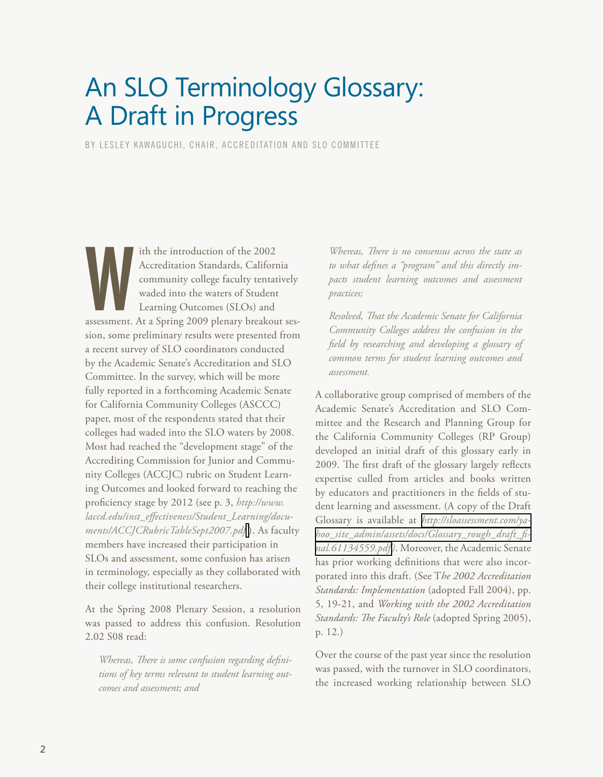# <span id="page-1-0"></span>An SLO Terminology Glossary: A Draft in Progress

BY LESLEY KAWAGUCHI, CHAIR, ACCREDITATION AND SLO COMMITTEE

ith the introduction of the 2002<br>Accreditation Standards, California<br>community college faculty tentatively<br>waded into the waters of Student<br>Learning Outcomes (SLOs) and<br>assessment. At a Spring 2009 plenary breakout sesith the introduction of the 2002 Accreditation Standards, California community college faculty tentatively waded into the waters of Student Learning Outcomes (SLOs) and sion, some preliminary results were presented from a recent survey of SLO coordinators conducted by the Academic Senate's Accreditation and SLO Committee. In the survey, which will be more fully reported in a forthcoming Academic Senate for California Community Colleges (ASCCC) paper, most of the respondents stated that their colleges had waded into the SLO waters by 2008. Most had reached the "development stage" of the Accrediting Commission for Junior and Community Colleges (ACCJC) rubric on Student Learning Outcomes and looked forward to reaching the proficiency stage by 2012 (see p. 3, *http://www. laccd.edu/inst\_effectiveness/Student\_Learning/documents/ACCJCRubricTableSept2007.pdf* [\)](http://www.laccd.edu/inst_effectiveness/Student_Learning/documents/ACCJCRubricTableSept2007.pdf). As faculty members have increased their participation in SLOs and assessment, some confusion has arisen in terminology, especially as they collaborated with their college institutional researchers.

At the Spring 2008 Plenary Session, a resolution was passed to address this confusion. Resolution 2.02 S08 read:

*Whereas, There is some confusion regarding definitions of key terms relevant to student learning outcomes and assessment; and*

*Whereas, There is no consensus across the state as to what defines a "program" and this directly impacts student learning outcomes and assessment practices;* 

*Resolved, That the Academic Senate for California Community Colleges address the confusion in the field by researching and developing a glossary of common terms for student learning outcomes and assessment.*

A collaborative group comprised of members of the Academic Senate's Accreditation and SLO Committee and the Research and Planning Group for the California Community Colleges (RP Group) developed an initial draft of this glossary early in 2009. The first draft of the glossary largely reflects expertise culled from articles and books written by educators and practitioners in the fields of student learning and assessment. (A copy of the Draft Glossary is available at *[http://sloassessment.com/ya](http://sloassessment.com/yahoo_site_admin/assets/docs/Glossary_rough_draft_final.61134559.pdf)[hoo\\_site\\_admin/assets/docs/Glossary\\_rough\\_draft\\_fi](http://sloassessment.com/yahoo_site_admin/assets/docs/Glossary_rough_draft_final.61134559.pdf)[nal.61134559.pdf](http://sloassessment.com/yahoo_site_admin/assets/docs/Glossary_rough_draft_final.61134559.pdf))*. Moreover, the Academic Senate has prior working definitions that were also incorporated into this draft. (See T*he 2002 Accreditation Standards: Implementation* (adopted Fall 2004), pp. 5, 19-21, and *Working with the 2002 Accreditation Standards: The Faculty's Role* (adopted Spring 2005), p. 12.)

Over the course of the past year since the resolution was passed, with the turnover in SLO coordinators, the increased working relationship between SLO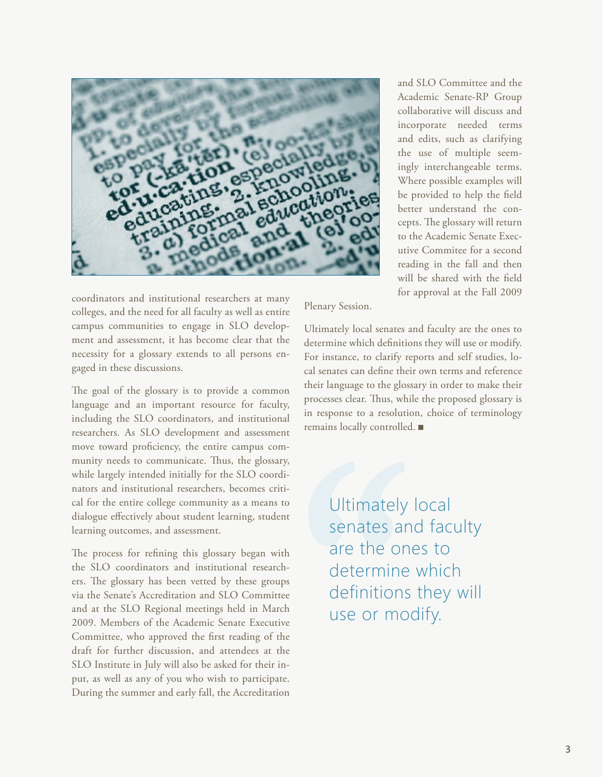

coordinators and institutional researchers at many colleges, and the need for all faculty as well as entire campus communities to engage in SLO development and assessment, it has become clear that the necessity for a glossary extends to all persons engaged in these discussions.

The goal of the glossary is to provide a common language and an important resource for faculty, including the SLO coordinators, and institutional researchers. As SLO development and assessment move toward proficiency, the entire campus community needs to communicate. Thus, the glossary, while largely intended initially for the SLO coordinators and institutional researchers, becomes critical for the entire college community as a means to dialogue effectively about student learning, student learning outcomes, and assessment.

The process for refining this glossary began with the SLO coordinators and institutional researchers. The glossary has been vetted by these groups via the Senate's Accreditation and SLO Committee and at the SLO Regional meetings held in March 2009. Members of the Academic Senate Executive Committee, who approved the first reading of the draft for further discussion, and attendees at the SLO Institute in July will also be asked for their input, as well as any of you who wish to participate. During the summer and early fall, the Accreditation

and SLO Committee and the Academic Senate-RP Group collaborative will discuss and incorporate needed terms and edits, such as clarifying the use of multiple seemingly interchangeable terms. Where possible examples will be provided to help the field better understand the concepts. The glossary will return to the Academic Senate Executive Commitee for a second reading in the fall and then will be shared with the field for approval at the Fall 2009

Plenary Session.

Ultimately local senates and faculty are the ones to determine which definitions they will use or modify. For instance, to clarify reports and self studies, local senates can define their own terms and reference their language to the glossary in order to make their processes clear. Thus, while the proposed glossary is in response to a resolution, choice of terminology remains locally controlled. <sup>g</sup>

> Ultimately local senates and faculty are the ones to determine which definitions they will use or modify.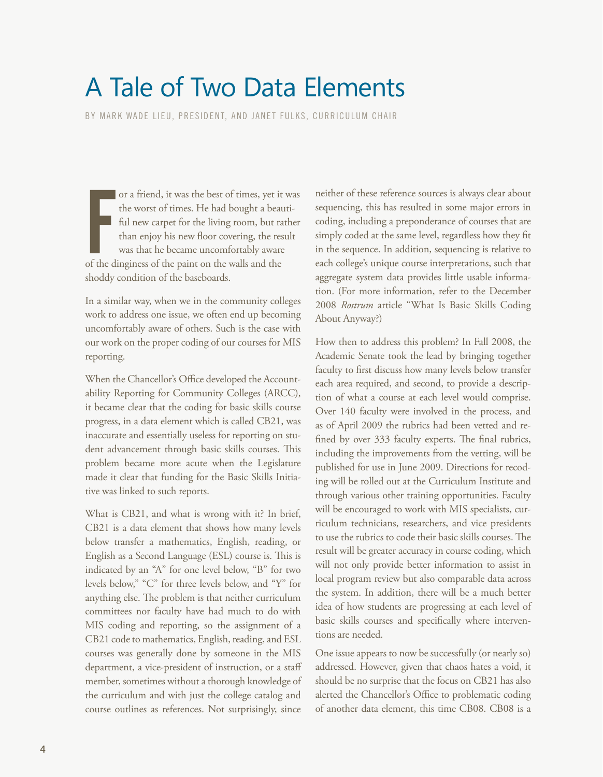# <span id="page-3-0"></span>A Tale of Two Data Elements

BY MARK WADE LIEU, PRESIDENT, AND JANET FULKS, CURRICULUM CHAIR

or a friend, it was the best of times, yet it<br>the worst of times. He had bought a beat<br>ful new carpet for the living room, but ra<br>than enjoy his new floor covering, the res<br>was that he became uncomfortably aware<br>of the din or a friend, it was the best of times, yet it was the worst of times. He had bought a beautiful new carpet for the living room, but rather than enjoy his new floor covering, the result was that he became uncomfortably aware shoddy condition of the baseboards.

In a similar way, when we in the community colleges work to address one issue, we often end up becoming uncomfortably aware of others. Such is the case with our work on the proper coding of our courses for MIS reporting.

When the Chancellor's Office developed the Accountability Reporting for Community Colleges (ARCC), it became clear that the coding for basic skills course progress, in a data element which is called CB21, was inaccurate and essentially useless for reporting on student advancement through basic skills courses. This problem became more acute when the Legislature made it clear that funding for the Basic Skills Initiative was linked to such reports.

What is CB21, and what is wrong with it? In brief, CB21 is a data element that shows how many levels below transfer a mathematics, English, reading, or English as a Second Language (ESL) course is. This is indicated by an "A" for one level below, "B" for two levels below," "C" for three levels below, and "Y" for anything else. The problem is that neither curriculum committees nor faculty have had much to do with MIS coding and reporting, so the assignment of a CB21 code to mathematics, English, reading, and ESL courses was generally done by someone in the MIS department, a vice-president of instruction, or a staff member, sometimes without a thorough knowledge of the curriculum and with just the college catalog and course outlines as references. Not surprisingly, since

neither of these reference sources is always clear about sequencing, this has resulted in some major errors in coding, including a preponderance of courses that are simply coded at the same level, regardless how they fit in the sequence. In addition, sequencing is relative to each college's unique course interpretations, such that aggregate system data provides little usable information. (For more information, refer to the December 2008 *Rostrum* article "What Is Basic Skills Coding About Anyway?)

How then to address this problem? In Fall 2008, the Academic Senate took the lead by bringing together faculty to first discuss how many levels below transfer each area required, and second, to provide a description of what a course at each level would comprise. Over 140 faculty were involved in the process, and as of April 2009 the rubrics had been vetted and refined by over 333 faculty experts. The final rubrics, including the improvements from the vetting, will be published for use in June 2009. Directions for recoding will be rolled out at the Curriculum Institute and through various other training opportunities. Faculty will be encouraged to work with MIS specialists, curriculum technicians, researchers, and vice presidents to use the rubrics to code their basic skills courses. The result will be greater accuracy in course coding, which will not only provide better information to assist in local program review but also comparable data across the system. In addition, there will be a much better idea of how students are progressing at each level of basic skills courses and specifically where interventions are needed.

One issue appears to now be successfully (or nearly so) addressed. However, given that chaos hates a void, it should be no surprise that the focus on CB21 has also alerted the Chancellor's Office to problematic coding of another data element, this time CB08. CB08 is a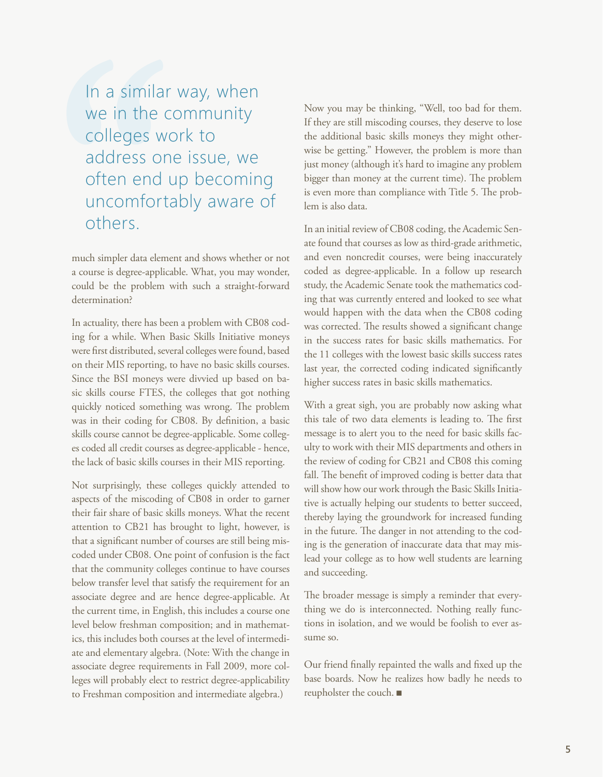In a similar way, when we in the community colleges work to address one issue, we often end up becoming uncomfortably aware of others.

much simpler data element and shows whether or not a course is degree-applicable. What, you may wonder, could be the problem with such a straight-forward determination?

In actuality, there has been a problem with CB08 coding for a while. When Basic Skills Initiative moneys were first distributed, several colleges were found, based on their MIS reporting, to have no basic skills courses. Since the BSI moneys were divvied up based on basic skills course FTES, the colleges that got nothing quickly noticed something was wrong. The problem was in their coding for CB08. By definition, a basic skills course cannot be degree-applicable. Some colleges coded all credit courses as degree-applicable - hence, the lack of basic skills courses in their MIS reporting.

Not surprisingly, these colleges quickly attended to aspects of the miscoding of CB08 in order to garner their fair share of basic skills moneys. What the recent attention to CB21 has brought to light, however, is that a significant number of courses are still being miscoded under CB08. One point of confusion is the fact that the community colleges continue to have courses below transfer level that satisfy the requirement for an associate degree and are hence degree-applicable. At the current time, in English, this includes a course one level below freshman composition; and in mathematics, this includes both courses at the level of intermediate and elementary algebra. (Note: With the change in associate degree requirements in Fall 2009, more colleges will probably elect to restrict degree-applicability to Freshman composition and intermediate algebra.)

Now you may be thinking, "Well, too bad for them. If they are still miscoding courses, they deserve to lose the additional basic skills moneys they might otherwise be getting." However, the problem is more than just money (although it's hard to imagine any problem bigger than money at the current time). The problem is even more than compliance with Title 5. The problem is also data.

In an initial review of CB08 coding, the Academic Senate found that courses as low as third-grade arithmetic, and even noncredit courses, were being inaccurately coded as degree-applicable. In a follow up research study, the Academic Senate took the mathematics coding that was currently entered and looked to see what would happen with the data when the CB08 coding was corrected. The results showed a significant change in the success rates for basic skills mathematics. For the 11 colleges with the lowest basic skills success rates last year, the corrected coding indicated significantly higher success rates in basic skills mathematics.

With a great sigh, you are probably now asking what this tale of two data elements is leading to. The first message is to alert you to the need for basic skills faculty to work with their MIS departments and others in the review of coding for CB21 and CB08 this coming fall. The benefit of improved coding is better data that will show how our work through the Basic Skills Initiative is actually helping our students to better succeed, thereby laying the groundwork for increased funding in the future. The danger in not attending to the coding is the generation of inaccurate data that may mislead your college as to how well students are learning and succeeding.

The broader message is simply a reminder that everything we do is interconnected. Nothing really functions in isolation, and we would be foolish to ever assume so.

Our friend finally repainted the walls and fixed up the base boards. Now he realizes how badly he needs to reupholster the couch. ■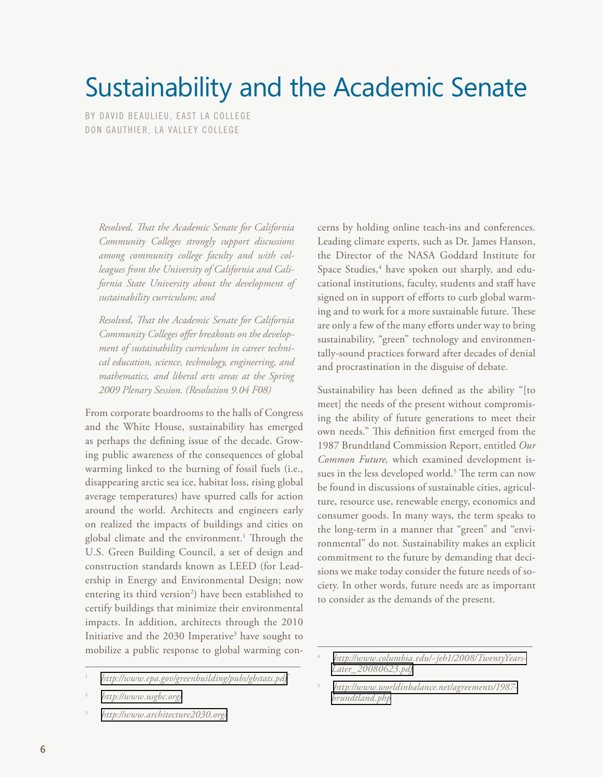# <span id="page-5-0"></span>Sustainability and the Academic Senate

BY DAVID BEAULIEU, EAST LA COLLEGE DON GAUTHIER, LA VALLEY COLLEGE

*Resolved, That the Academic Senate for California Community Colleges strongly support discussions among community college faculty and with colleagues from the University of California and California State University about the development of sustainability curriculum; and*

*Resolved, That the Academic Senate for California Community Colleges offer breakouts on the development of sustainability curriculum in career technical education, science, technology, engineering, and mathematics, and liberal arts areas at the Spring 2009 Plenary Session. (Resolution 9.04 F08)* 

From corporate boardrooms to the halls of Congress and the White House, sustainability has emerged as perhaps the defining issue of the decade. Growing public awareness of the consequences of global warming linked to the burning of fossil fuels (i.e., disappearing arctic sea ice, habitat loss, rising global average temperatures) have spurred calls for action around the world. Architects and engineers early on realized the impacts of buildings and cities on global climate and the environment.<sup>1</sup> Through the U.S. Green Building Council, a set of design and construction standards known as LEED (for Leadership in Energy and Environmental Design; now entering its third version<sup>2</sup>) have been established to certify buildings that minimize their environmental impacts. In addition, architects through the 2010 Initiative and the 2030 Imperative<sup>3</sup> have sought to mobilize a public response to global warming concerns by holding online teach-ins and conferences. Leading climate experts, such as Dr. James Hanson, the Director of the NASA Goddard Institute for Space Studies,<sup>4</sup> have spoken out sharply, and educational institutions, faculty, students and staff have signed on in support of efforts to curb global warming and to work for a more sustainable future. These are only a few of the many efforts under way to bring sustainability, "green" technology and environmentally-sound practices forward after decades of denial and procrastination in the disguise of debate.

Sustainability has been defined as the ability "[to meet] the needs of the present without compromising the ability of future generations to meet their own needs." This definition first emerged from the 1987 Brundtland Commission Report, entitled *Our Common Future,* which examined development issues in the less developed world.<sup>5</sup> The term can now be found in discussions of sustainable cities, agriculture, resource use, renewable energy, economics and consumer goods. In many ways, the term speaks to the long-term in a manner that "green" and "environmental" do not. Sustainability makes an explicit commitment to the future by demanding that decisions we make today consider the future needs of society. In other words, future needs are as important to consider as the demands of the present.

<sup>1</sup> *<http://www.epa.gov/greenbuilding/pubs/gbstats.pdf>*

<sup>2</sup> *<http://www.usgbc.org/>*

<sup>3</sup> *<http://www.architecture2030.org/>*

<sup>4</sup> *[http://www.columbia.edu/~jeh1/2008/TwentyYears-](http://www.columbia.edu/~jeh1/2008/TwentyYearsLater_20080623.pdf)[Later\\_20080623.pdf](http://www.columbia.edu/~jeh1/2008/TwentyYearsLater_20080623.pdf)*

<sup>5</sup> *[http://www.worldinbalance.net/agreements/1987](http://www.worldinbalance.net/agreements/1987-brundtland.php) [brundtland.php](http://www.worldinbalance.net/agreements/1987-brundtland.php)*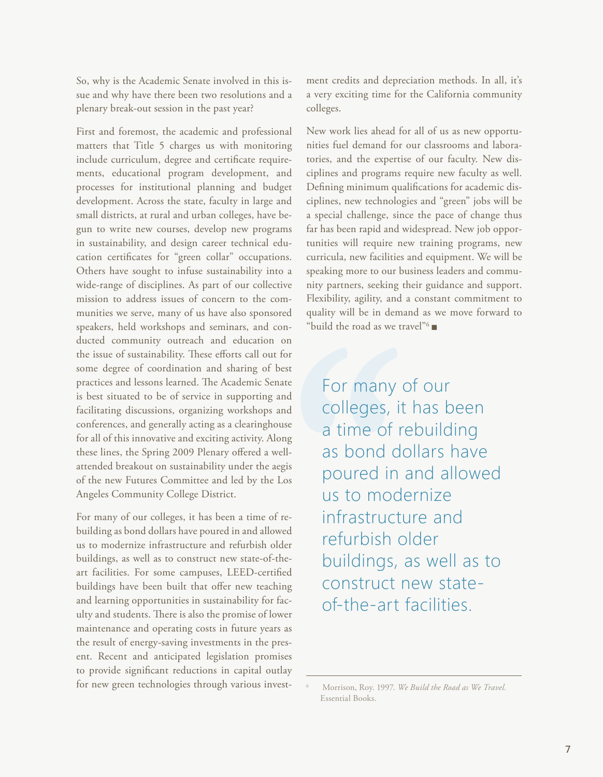So, why is the Academic Senate involved in this issue and why have there been two resolutions and a plenary break-out session in the past year?

First and foremost, the academic and professional matters that Title 5 charges us with monitoring include curriculum, degree and certificate requirements, educational program development, and processes for institutional planning and budget development. Across the state, faculty in large and small districts, at rural and urban colleges, have begun to write new courses, develop new programs in sustainability, and design career technical education certificates for "green collar" occupations. Others have sought to infuse sustainability into a wide-range of disciplines. As part of our collective mission to address issues of concern to the communities we serve, many of us have also sponsored speakers, held workshops and seminars, and conducted community outreach and education on the issue of sustainability. These efforts call out for some degree of coordination and sharing of best practices and lessons learned. The Academic Senate is best situated to be of service in supporting and facilitating discussions, organizing workshops and conferences, and generally acting as a clearinghouse for all of this innovative and exciting activity. Along these lines, the Spring 2009 Plenary offered a wellattended breakout on sustainability under the aegis of the new Futures Committee and led by the Los Angeles Community College District.

For many of our colleges, it has been a time of rebuilding as bond dollars have poured in and allowed us to modernize infrastructure and refurbish older buildings, as well as to construct new state-of-theart facilities. For some campuses, LEED-certified buildings have been built that offer new teaching and learning opportunities in sustainability for faculty and students. There is also the promise of lower maintenance and operating costs in future years as the result of energy-saving investments in the present. Recent and anticipated legislation promises to provide significant reductions in capital outlay for new green technologies through various investment credits and depreciation methods. In all, it's a very exciting time for the California community colleges.

New work lies ahead for all of us as new opportunities fuel demand for our classrooms and laboratories, and the expertise of our faculty. New disciplines and programs require new faculty as well. Defining minimum qualifications for academic disciplines, new technologies and "green" jobs will be a special challenge, since the pace of change thus far has been rapid and widespread. New job opportunities will require new training programs, new curricula, new facilities and equipment. We will be speaking more to our business leaders and community partners, seeking their guidance and support. Flexibility, agility, and a constant commitment to quality will be in demand as we move forward to "build the road as we travel"  $\blacksquare$ 

For many of our colleges, it has been a time of rebuilding as bond dollars have poured in and allowed us to modernize infrastructure and refurbish older buildings, as well as to construct new stateof-the-art facilities.

<sup>6</sup> Morrison, Roy. 1997. *We Build the Road as We Travel.*  Essential Books.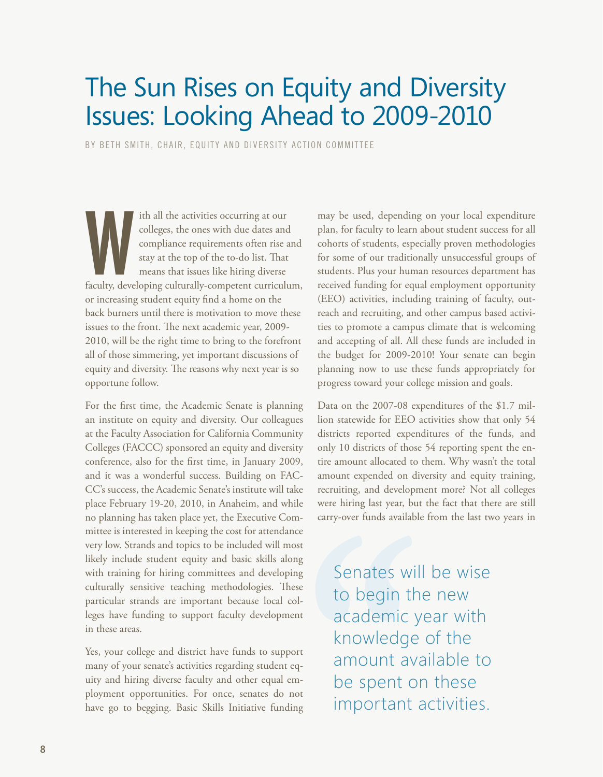## <span id="page-7-0"></span>The Sun Rises on Equity and Diversity Issues: Looking Ahead to 2009-2010

by Beth Smith, Chair, Equity and Diversity Action Committee

ith all the activities occurring at our<br>colleges, the ones with due dates and<br>compliance requirements often rise and<br>stay at the top of the to-do list. That<br>means that issues like hiring diverse<br>faculty, developing cultura ith all the activities occurring at our colleges, the ones with due dates and compliance requirements often rise and stay at the top of the to-do list. That means that issues like hiring diverse or increasing student equity find a home on the back burners until there is motivation to move these issues to the front. The next academic year, 2009- 2010, will be the right time to bring to the forefront all of those simmering, yet important discussions of equity and diversity. The reasons why next year is so opportune follow.

For the first time, the Academic Senate is planning an institute on equity and diversity. Our colleagues at the Faculty Association for California Community Colleges (FACCC) sponsored an equity and diversity conference, also for the first time, in January 2009, and it was a wonderful success. Building on FAC-CC's success, the Academic Senate's institute will take place February 19-20, 2010, in Anaheim, and while no planning has taken place yet, the Executive Committee is interested in keeping the cost for attendance very low. Strands and topics to be included will most likely include student equity and basic skills along with training for hiring committees and developing culturally sensitive teaching methodologies. These particular strands are important because local colleges have funding to support faculty development in these areas.

Yes, your college and district have funds to support many of your senate's activities regarding student equity and hiring diverse faculty and other equal employment opportunities. For once, senates do not have go to begging. Basic Skills Initiative funding may be used, depending on your local expenditure plan, for faculty to learn about student success for all cohorts of students, especially proven methodologies for some of our traditionally unsuccessful groups of students. Plus your human resources department has received funding for equal employment opportunity (EEO) activities, including training of faculty, outreach and recruiting, and other campus based activities to promote a campus climate that is welcoming and accepting of all. All these funds are included in the budget for 2009-2010! Your senate can begin planning now to use these funds appropriately for progress toward your college mission and goals.

Data on the 2007-08 expenditures of the \$1.7 million statewide for EEO activities show that only 54 districts reported expenditures of the funds, and only 10 districts of those 54 reporting spent the entire amount allocated to them. Why wasn't the total amount expended on diversity and equity training, recruiting, and development more? Not all colleges were hiring last year, but the fact that there are still carry-over funds available from the last two years in

Senates will be wise to begin the new academic year with knowledge of the amount available to be spent on these important activities.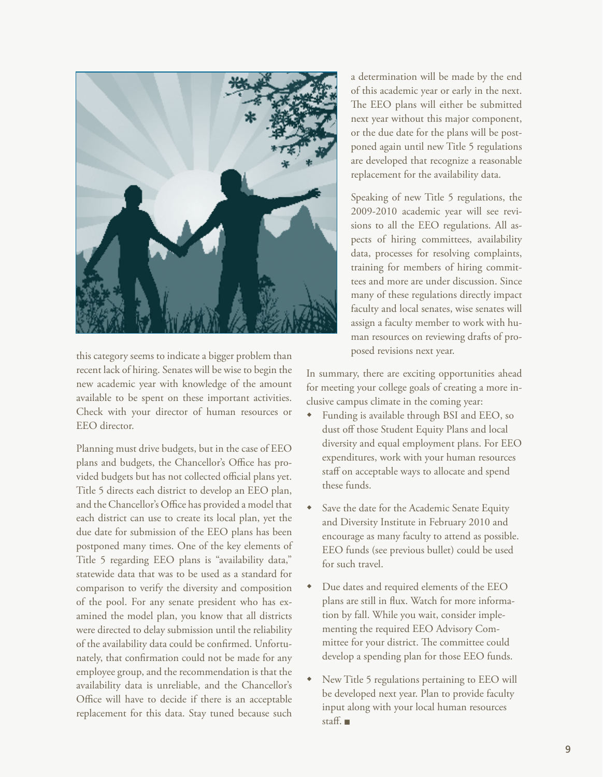

this category seems to indicate a bigger problem than recent lack of hiring. Senates will be wise to begin the new academic year with knowledge of the amount available to be spent on these important activities. Check with your director of human resources or EEO director.

Planning must drive budgets, but in the case of EEO plans and budgets, the Chancellor's Office has provided budgets but has not collected official plans yet. Title 5 directs each district to develop an EEO plan, and the Chancellor's Office has provided a model that each district can use to create its local plan, yet the due date for submission of the EEO plans has been postponed many times. One of the key elements of Title 5 regarding EEO plans is "availability data," statewide data that was to be used as a standard for comparison to verify the diversity and composition of the pool. For any senate president who has examined the model plan, you know that all districts were directed to delay submission until the reliability of the availability data could be confirmed. Unfortunately, that confirmation could not be made for any employee group, and the recommendation is that the availability data is unreliable, and the Chancellor's Office will have to decide if there is an acceptable replacement for this data. Stay tuned because such

a determination will be made by the end of this academic year or early in the next. The EEO plans will either be submitted next year without this major component, or the due date for the plans will be postponed again until new Title 5 regulations are developed that recognize a reasonable replacement for the availability data.

Speaking of new Title 5 regulations, the 2009-2010 academic year will see revisions to all the EEO regulations. All aspects of hiring committees, availability data, processes for resolving complaints, training for members of hiring committees and more are under discussion. Since many of these regulations directly impact faculty and local senates, wise senates will assign a faculty member to work with human resources on reviewing drafts of proposed revisions next year.

In summary, there are exciting opportunities ahead for meeting your college goals of creating a more inclusive campus climate in the coming year:

- Funding is available through BSI and EEO, so dust off those Student Equity Plans and local diversity and equal employment plans. For EEO expenditures, work with your human resources staff on acceptable ways to allocate and spend these funds.
- Save the date for the Academic Senate Equity and Diversity Institute in February 2010 and encourage as many faculty to attend as possible. EEO funds (see previous bullet) could be used for such travel.
- $\bullet$  Due dates and required elements of the EEO plans are still in flux. Watch for more information by fall. While you wait, consider implementing the required EEO Advisory Committee for your district. The committee could develop a spending plan for those EEO funds.
- New Title 5 regulations pertaining to EEO will be developed next year. Plan to provide faculty input along with your local human resources staff.  $\blacksquare$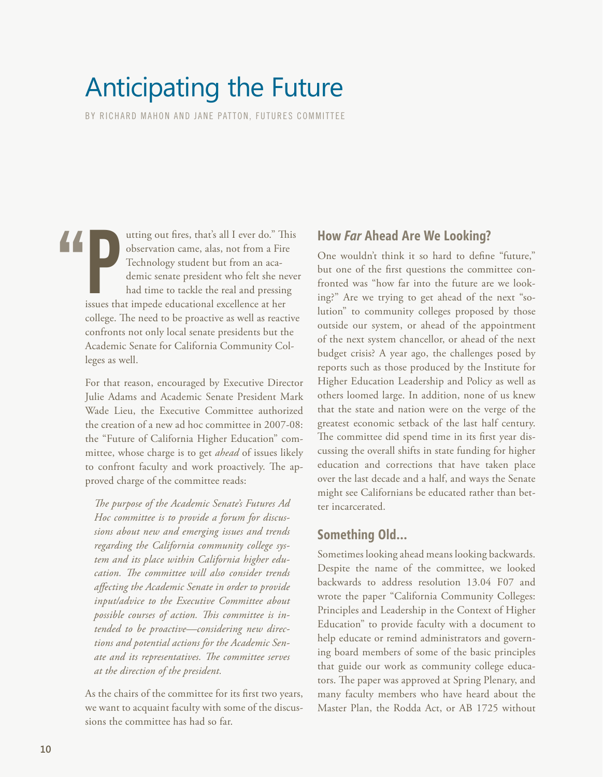# <span id="page-9-0"></span>Anticipating the Future

BY RICHARD MAHON AND JANE PATTON, FUTURES COMMITTEE

atting out fires, that's all I ever do." The observation came, alas, not from a Fire Technology student but from an academic senate president who felt she ne had time to tackle the real and pressing issues that impede educ utting out fires, that's all I ever do." This observation came, alas, not from a Fire Technology student but from an academic senate president who felt she never had time to tackle the real and pressing college. The need to be proactive as well as reactive confronts not only local senate presidents but the Academic Senate for California Community Colleges as well. "

> For that reason, encouraged by Executive Director Julie Adams and Academic Senate President Mark Wade Lieu, the Executive Committee authorized the creation of a new ad hoc committee in 2007-08: the "Future of California Higher Education" committee, whose charge is to get *ahead* of issues likely to confront faculty and work proactively. The approved charge of the committee reads:

*The purpose of the Academic Senate's Futures Ad Hoc committee is to provide a forum for discussions about new and emerging issues and trends regarding the California community college system and its place within California higher education. The committee will also consider trends affecting the Academic Senate in order to provide input/advice to the Executive Committee about possible courses of action. This committee is intended to be proactive—considering new directions and potential actions for the Academic Senate and its representatives. The committee serves at the direction of the president.*

As the chairs of the committee for its first two years, we want to acquaint faculty with some of the discussions the committee has had so far.

### **How** *Far* **Ahead Are We Looking?**

One wouldn't think it so hard to define "future," but one of the first questions the committee confronted was "how far into the future are we looking?" Are we trying to get ahead of the next "solution" to community colleges proposed by those outside our system, or ahead of the appointment of the next system chancellor, or ahead of the next budget crisis? A year ago, the challenges posed by reports such as those produced by the Institute for Higher Education Leadership and Policy as well as others loomed large. In addition, none of us knew that the state and nation were on the verge of the greatest economic setback of the last half century. The committee did spend time in its first year discussing the overall shifts in state funding for higher education and corrections that have taken place over the last decade and a half, and ways the Senate might see Californians be educated rather than better incarcerated.

## **Something Old…**

Sometimes looking ahead means looking backwards. Despite the name of the committee, we looked backwards to address resolution 13.04 F07 and wrote the paper "California Community Colleges: Principles and Leadership in the Context of Higher Education" to provide faculty with a document to help educate or remind administrators and governing board members of some of the basic principles that guide our work as community college educators. The paper was approved at Spring Plenary, and many faculty members who have heard about the Master Plan, the Rodda Act, or AB 1725 without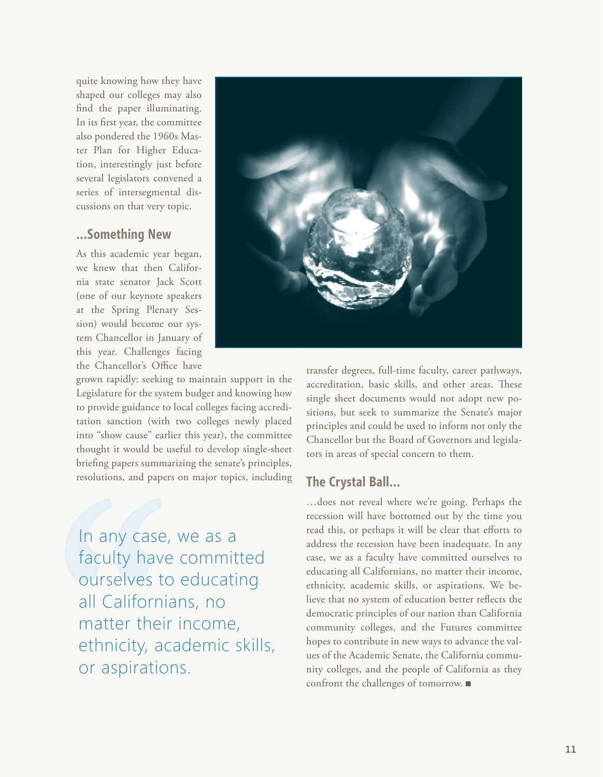quite knowing how they have shaped our colleges may also find the paper illuminating. In its first year, the committee also pondered the 1960s Master Plan for Higher Education, interestingly just before several legislators convened a series of intersegmental discussions on that very topic.

### **…Something New**

As this academic year began, we knew that then California state senator Jack Scott (one of our keynote speakers at the Spring Plenary Session) would become our system Chancellor in January of this year. Challenges facing the Chancellor's Office have

grown rapidly: seeking to maintain support in the Legislature for the system budget and knowing how to provide guidance to local colleges facing accreditation sanction (with two colleges newly placed into "show cause" earlier this year), the committee thought it would be useful to develop single-sheet briefing papers summarizing the senate's principles, resolutions, and papers on major topics, including

In any case, we as a faculty have committed ourselves to educating all Californians, no matter their income, ethnicity, academic skills, or aspirations.



transfer degrees, full-time faculty, career pathways, accreditation, basic skills, and other areas. These single sheet documents would not adopt new positions, but seek to summarize the Senate's major principles and could be used to inform not only the Chancellor but the Board of Governors and legislators in areas of special concern to them.

### **The Crystal Ball…**

…does not reveal where we're going. Perhaps the recession will have bottomed out by the time you read this, or perhaps it will be clear that efforts to address the recession have been inadequate. In any case, we as a faculty have committed ourselves to educating all Californians, no matter their income, ethnicity, academic skills, or aspirations. We believe that no system of education better reflects the democratic principles of our nation than California community colleges, and the Futures committee hopes to contribute in new ways to advance the values of the Academic Senate, the California community colleges, and the people of California as they confront the challenges of tomorrow.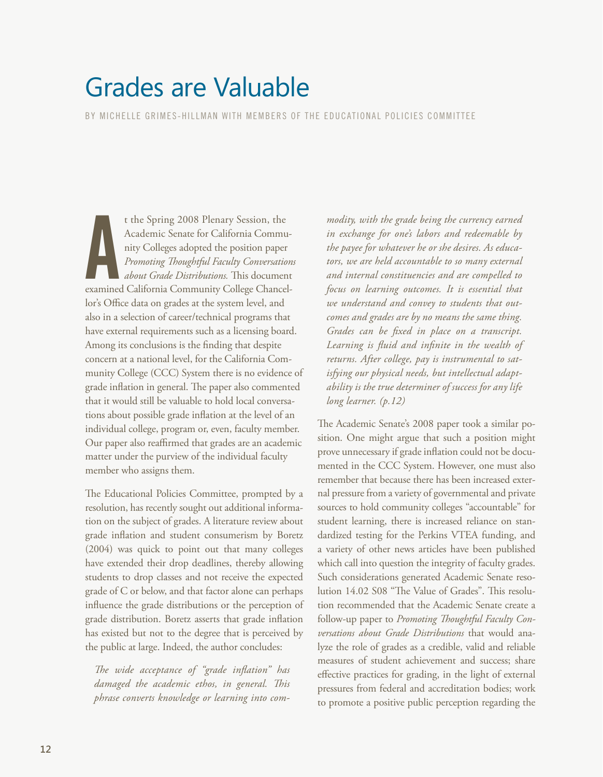# <span id="page-11-0"></span>Grades are Valuable

BY MICHELLE GRIMES-HILLMAN WITH MEMBERS OF THE EDUCATIONAL POLICIES COMMITTEE

t the Spring 2008 Plenary Session, the<br>Academic Senate for California Community Colleges adopted the position paper<br>Promoting Thoughtful Faculty Conversation<br>about Grade Distributions. This document<br>examined California Com t the Spring 2008 Plenary Session, the Academic Senate for California Community Colleges adopted the position paper *Promoting Thoughtful Faculty Conversations about Grade Distributions.* This document lor's Office data on grades at the system level, and also in a selection of career/technical programs that have external requirements such as a licensing board. Among its conclusions is the finding that despite concern at a national level, for the California Community College (CCC) System there is no evidence of grade inflation in general. The paper also commented that it would still be valuable to hold local conversations about possible grade inflation at the level of an individual college, program or, even, faculty member. Our paper also reaffirmed that grades are an academic matter under the purview of the individual faculty member who assigns them.

The Educational Policies Committee, prompted by a resolution, has recently sought out additional information on the subject of grades. A literature review about grade inflation and student consumerism by Boretz (2004) was quick to point out that many colleges have extended their drop deadlines, thereby allowing students to drop classes and not receive the expected grade of C or below, and that factor alone can perhaps influence the grade distributions or the perception of grade distribution. Boretz asserts that grade inflation has existed but not to the degree that is perceived by the public at large. Indeed, the author concludes:

*The wide acceptance of "grade inflation" has damaged the academic ethos, in general. This phrase converts knowledge or learning into com-*

*modity, with the grade being the currency earned in exchange for one's labors and redeemable by the payee for whatever he or she desires. As educators, we are held accountable to so many external and internal constituencies and are compelled to focus on learning outcomes. It is essential that we understand and convey to students that outcomes and grades are by no means the same thing. Grades can be fixed in place on a transcript. Learning is fluid and infinite in the wealth of returns. After college, pay is instrumental to satisfying our physical needs, but intellectual adaptability is the true determiner of success for any life long learner. (p.12)*

The Academic Senate's 2008 paper took a similar position. One might argue that such a position might prove unnecessary if grade inflation could not be documented in the CCC System. However, one must also remember that because there has been increased external pressure from a variety of governmental and private sources to hold community colleges "accountable" for student learning, there is increased reliance on standardized testing for the Perkins VTEA funding, and a variety of other news articles have been published which call into question the integrity of faculty grades. Such considerations generated Academic Senate resolution 14.02 S08 "The Value of Grades". This resolution recommended that the Academic Senate create a follow-up paper to *Promoting Thoughtful Faculty Conversations about Grade Distributions* that would analyze the role of grades as a credible, valid and reliable measures of student achievement and success; share effective practices for grading, in the light of external pressures from federal and accreditation bodies; work to promote a positive public perception regarding the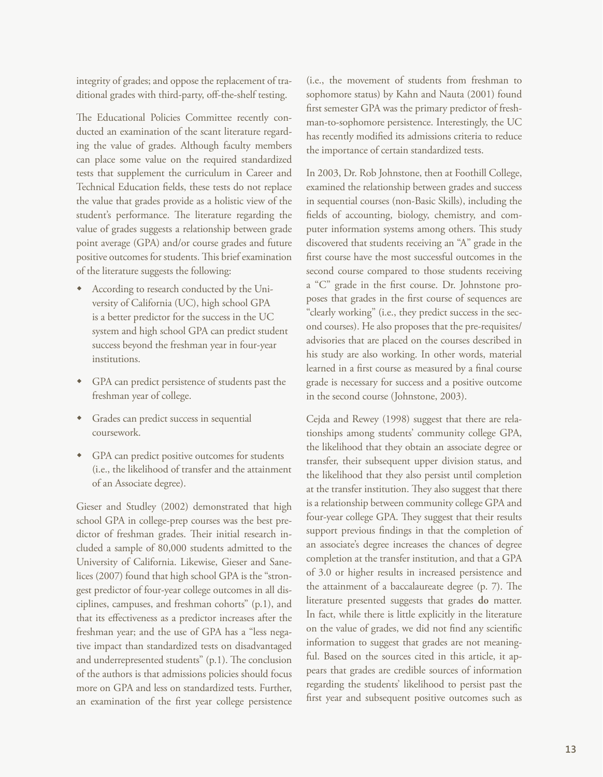integrity of grades; and oppose the replacement of traditional grades with third-party, off-the-shelf testing.

The Educational Policies Committee recently conducted an examination of the scant literature regarding the value of grades. Although faculty members can place some value on the required standardized tests that supplement the curriculum in Career and Technical Education fields, these tests do not replace the value that grades provide as a holistic view of the student's performance. The literature regarding the value of grades suggests a relationship between grade point average (GPA) and/or course grades and future positive outcomes for students. This brief examination of the literature suggests the following:

- According to research conducted by the University of California (UC), high school GPA is a better predictor for the success in the UC system and high school GPA can predict student success beyond the freshman year in four-year institutions.
- GPA can predict persistence of students past the freshman year of college.
- w Grades can predict success in sequential coursework.
- GPA can predict positive outcomes for students (i.e., the likelihood of transfer and the attainment of an Associate degree).

Gieser and Studley (2002) demonstrated that high school GPA in college-prep courses was the best predictor of freshman grades. Their initial research included a sample of 80,000 students admitted to the University of California. Likewise, Gieser and Sanelices (2007) found that high school GPA is the "strongest predictor of four-year college outcomes in all disciplines, campuses, and freshman cohorts" (p.1), and that its effectiveness as a predictor increases after the freshman year; and the use of GPA has a "less negative impact than standardized tests on disadvantaged and underrepresented students" (p.1). The conclusion of the authors is that admissions policies should focus more on GPA and less on standardized tests. Further, an examination of the first year college persistence

(i.e., the movement of students from freshman to sophomore status) by Kahn and Nauta (2001) found first semester GPA was the primary predictor of freshman-to-sophomore persistence. Interestingly, the UC has recently modified its admissions criteria to reduce the importance of certain standardized tests.

In 2003, Dr. Rob Johnstone, then at Foothill College, examined the relationship between grades and success in sequential courses (non-Basic Skills), including the fields of accounting, biology, chemistry, and computer information systems among others. This study discovered that students receiving an "A" grade in the first course have the most successful outcomes in the second course compared to those students receiving a "C" grade in the first course. Dr. Johnstone proposes that grades in the first course of sequences are "clearly working" (i.e., they predict success in the second courses). He also proposes that the pre-requisites/ advisories that are placed on the courses described in his study are also working. In other words, material learned in a first course as measured by a final course grade is necessary for success and a positive outcome in the second course (Johnstone, 2003).

Cejda and Rewey (1998) suggest that there are relationships among students' community college GPA, the likelihood that they obtain an associate degree or transfer, their subsequent upper division status, and the likelihood that they also persist until completion at the transfer institution. They also suggest that there is a relationship between community college GPA and four-year college GPA. They suggest that their results support previous findings in that the completion of an associate's degree increases the chances of degree completion at the transfer institution, and that a GPA of 3.0 or higher results in increased persistence and the attainment of a baccalaureate degree (p. 7). The literature presented suggests that grades **do** matter. In fact, while there is little explicitly in the literature on the value of grades, we did not find any scientific information to suggest that grades are not meaningful. Based on the sources cited in this article, it appears that grades are credible sources of information regarding the students' likelihood to persist past the first year and subsequent positive outcomes such as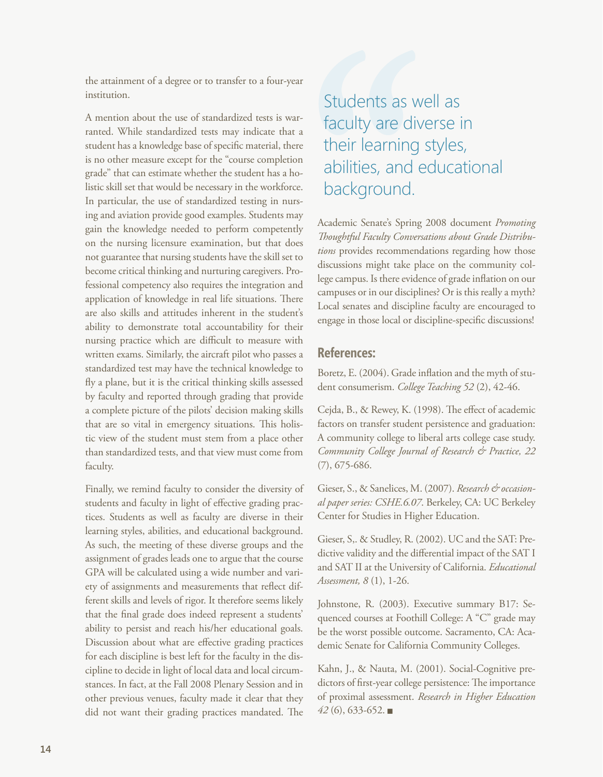the attainment of a degree or to transfer to a four-year institution.

A mention about the use of standardized tests is warranted. While standardized tests may indicate that a student has a knowledge base of specific material, there is no other measure except for the "course completion grade" that can estimate whether the student has a holistic skill set that would be necessary in the workforce. In particular, the use of standardized testing in nursing and aviation provide good examples. Students may gain the knowledge needed to perform competently on the nursing licensure examination, but that does not guarantee that nursing students have the skill set to become critical thinking and nurturing caregivers. Professional competency also requires the integration and application of knowledge in real life situations. There are also skills and attitudes inherent in the student's ability to demonstrate total accountability for their nursing practice which are difficult to measure with written exams. Similarly, the aircraft pilot who passes a standardized test may have the technical knowledge to fly a plane, but it is the critical thinking skills assessed by faculty and reported through grading that provide a complete picture of the pilots' decision making skills that are so vital in emergency situations. This holistic view of the student must stem from a place other than standardized tests, and that view must come from faculty.

Finally, we remind faculty to consider the diversity of students and faculty in light of effective grading practices. Students as well as faculty are diverse in their learning styles, abilities, and educational background. As such, the meeting of these diverse groups and the assignment of grades leads one to argue that the course GPA will be calculated using a wide number and variety of assignments and measurements that reflect different skills and levels of rigor. It therefore seems likely that the final grade does indeed represent a students' ability to persist and reach his/her educational goals. Discussion about what are effective grading practices for each discipline is best left for the faculty in the discipline to decide in light of local data and local circumstances. In fact, at the Fall 2008 Plenary Session and in other previous venues, faculty made it clear that they did not want their grading practices mandated. The

## Students as well as faculty are diverse in their learning styles, abilities, and educational background.

Academic Senate's Spring 2008 document *Promoting Thoughtful Faculty Conversations about Grade Distributions* provides recommendations regarding how those discussions might take place on the community college campus. Is there evidence of grade inflation on our campuses or in our disciplines? Or is this really a myth? Local senates and discipline faculty are encouraged to engage in those local or discipline-specific discussions!

### **References:**

Boretz, E. (2004). Grade inflation and the myth of student consumerism. *College Teaching 52* (2), 42-46.

Cejda, B., & Rewey, K. (1998). The effect of academic factors on transfer student persistence and graduation: A community college to liberal arts college case study. *Community College Journal of Research & Practice, 22*  (7), 675-686.

Gieser, S., & Sanelices, M. (2007). *Research & occasional paper series: CSHE.6.07*. Berkeley, CA: UC Berkeley Center for Studies in Higher Education.

Gieser, S,. & Studley, R. (2002). UC and the SAT: Predictive validity and the differential impact of the SAT I and SAT II at the University of California. *Educational Assessment, 8* (1), 1-26.

Johnstone, R. (2003). Executive summary B17: Sequenced courses at Foothill College: A "C" grade may be the worst possible outcome. Sacramento, CA: Academic Senate for California Community Colleges.

Kahn, J., & Nauta, M. (2001). Social-Cognitive predictors of first-year college persistence: The importance of proximal assessment. *Research in Higher Education 42* (6), 633-652. <sup>g</sup>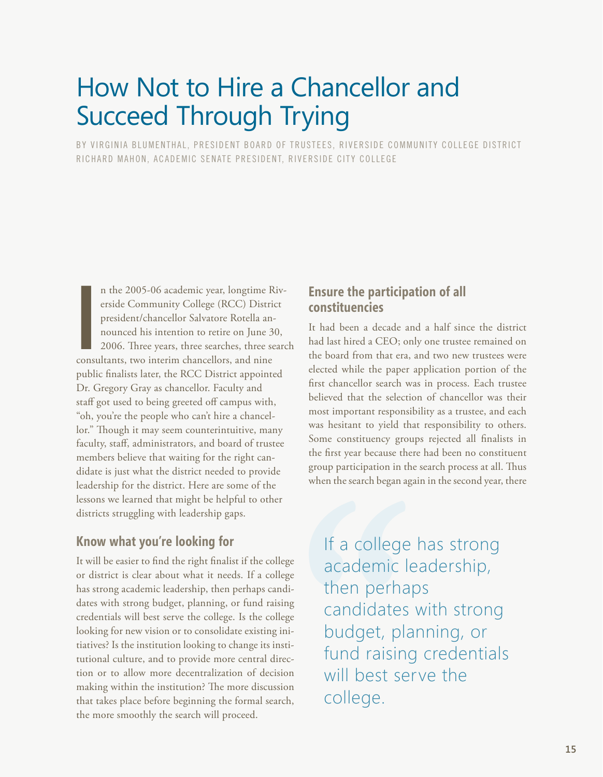# <span id="page-14-0"></span>How Not to Hire a Chancellor and Succeed Through Trying

BY VIRGINIA BLUMENTHAL, PRESIDENT BOARD OF TRUSTEES, RIVERSIDE COMMUNITY COLLEGE DISTRICT RICHARD MAHON, ACADEMIC SENATE PRESIDENT, RIVERSIDE CITY COLLEGE

n the 2005-06 academic year, longtime R<br>erside Community College (RCC) Distri-<br>president/chancellor Salvatore Rotella an-<br>nounced his intention to retire on June 3<br>2006. Three years, three searches, three se<br>consultants, t n the 2005-06 academic year, longtime Riverside Community College (RCC) District president/chancellor Salvatore Rotella announced his intention to retire on June 30, 2006. Three years, three searches, three search public finalists later, the RCC District appointed Dr. Gregory Gray as chancellor. Faculty and staff got used to being greeted off campus with, "oh, you're the people who can't hire a chancellor." Though it may seem counterintuitive, many faculty, staff, administrators, and board of trustee members believe that waiting for the right candidate is just what the district needed to provide leadership for the district. Here are some of the lessons we learned that might be helpful to other districts struggling with leadership gaps.

### **Know what you're looking for**

It will be easier to find the right finalist if the college or district is clear about what it needs. If a college has strong academic leadership, then perhaps candidates with strong budget, planning, or fund raising credentials will best serve the college. Is the college looking for new vision or to consolidate existing initiatives? Is the institution looking to change its institutional culture, and to provide more central direction or to allow more decentralization of decision making within the institution? The more discussion that takes place before beginning the formal search, the more smoothly the search will proceed.

### **Ensure the participation of all constituencies**

It had been a decade and a half since the district had last hired a CEO; only one trustee remained on the board from that era, and two new trustees were elected while the paper application portion of the first chancellor search was in process. Each trustee believed that the selection of chancellor was their most important responsibility as a trustee, and each was hesitant to yield that responsibility to others. Some constituency groups rejected all finalists in the first year because there had been no constituent group participation in the search process at all. Thus when the search began again in the second year, there

If a college has strong academic leadership, then perhaps candidates with strong budget, planning, or fund raising credentials will best serve the college.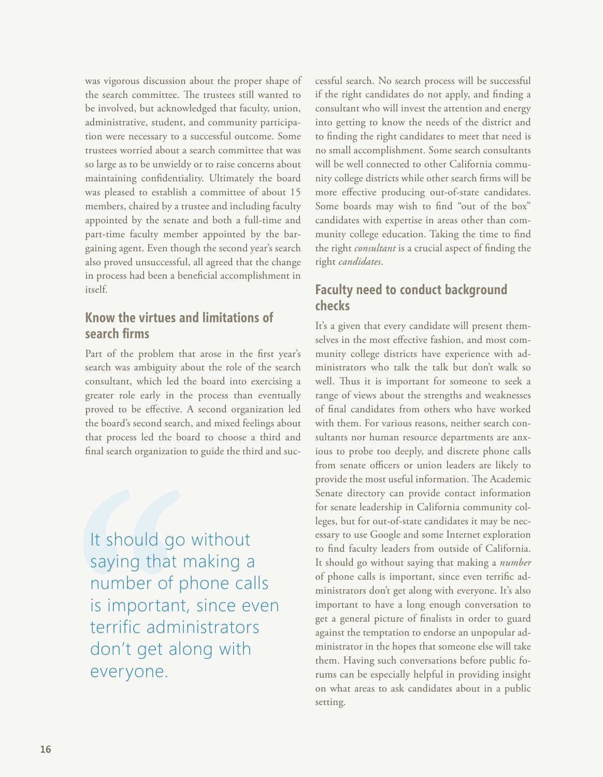was vigorous discussion about the proper shape of the search committee. The trustees still wanted to be involved, but acknowledged that faculty, union, administrative, student, and community participation were necessary to a successful outcome. Some trustees worried about a search committee that was so large as to be unwieldy or to raise concerns about maintaining confidentiality. Ultimately the board was pleased to establish a committee of about 15 members, chaired by a trustee and including faculty appointed by the senate and both a full-time and part-time faculty member appointed by the bargaining agent. Even though the second year's search also proved unsuccessful, all agreed that the change in process had been a beneficial accomplishment in itself.

## **Know the virtues and limitations of search firms**

Part of the problem that arose in the first year's search was ambiguity about the role of the search consultant, which led the board into exercising a greater role early in the process than eventually proved to be effective. A second organization led the board's second search, and mixed feelings about that process led the board to choose a third and final search organization to guide the third and suc-

It should go without saying that making a number of phone calls is important, since even terrific administrators don't get along with everyone.

cessful search. No search process will be successful if the right candidates do not apply, and finding a consultant who will invest the attention and energy into getting to know the needs of the district and to finding the right candidates to meet that need is no small accomplishment. Some search consultants will be well connected to other California community college districts while other search firms will be more effective producing out-of-state candidates. Some boards may wish to find "out of the box" candidates with expertise in areas other than community college education. Taking the time to find the right *consultant* is a crucial aspect of finding the right *candidates*.

## **Faculty need to conduct background checks**

It's a given that every candidate will present themselves in the most effective fashion, and most community college districts have experience with administrators who talk the talk but don't walk so well. Thus it is important for someone to seek a range of views about the strengths and weaknesses of final candidates from others who have worked with them. For various reasons, neither search consultants nor human resource departments are anxious to probe too deeply, and discrete phone calls from senate officers or union leaders are likely to provide the most useful information. The Academic Senate directory can provide contact information for senate leadership in California community colleges, but for out-of-state candidates it may be necessary to use Google and some Internet exploration to find faculty leaders from outside of California. It should go without saying that making a *number* of phone calls is important, since even terrific administrators don't get along with everyone. It's also important to have a long enough conversation to get a general picture of finalists in order to guard against the temptation to endorse an unpopular administrator in the hopes that someone else will take them. Having such conversations before public forums can be especially helpful in providing insight on what areas to ask candidates about in a public setting.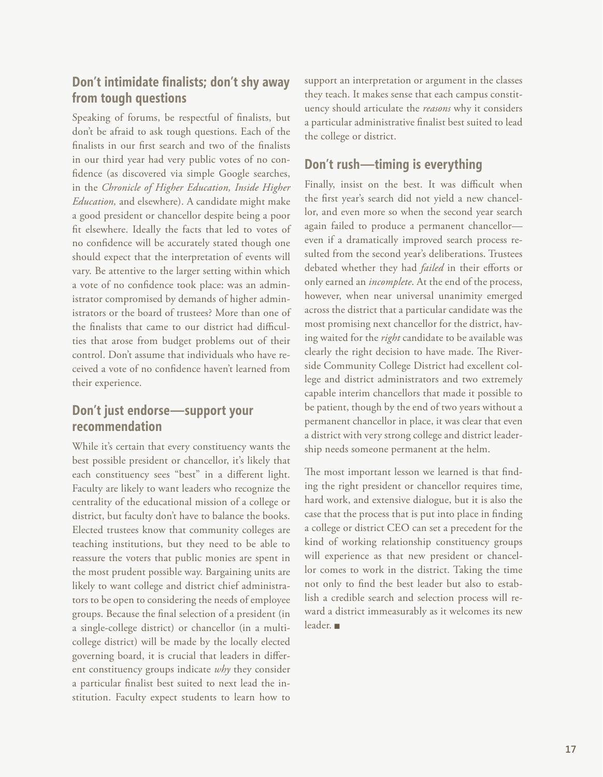## **Don't intimidate finalists; don't shy away from tough questions**

Speaking of forums, be respectful of finalists, but don't be afraid to ask tough questions. Each of the finalists in our first search and two of the finalists in our third year had very public votes of no confidence (as discovered via simple Google searches, in the *Chronicle of Higher Education, Inside Higher Education,* and elsewhere). A candidate might make a good president or chancellor despite being a poor fit elsewhere. Ideally the facts that led to votes of no confidence will be accurately stated though one should expect that the interpretation of events will vary. Be attentive to the larger setting within which a vote of no confidence took place: was an administrator compromised by demands of higher administrators or the board of trustees? More than one of the finalists that came to our district had difficulties that arose from budget problems out of their control. Don't assume that individuals who have received a vote of no confidence haven't learned from their experience.

## **Don't just endorse—support your recommendation**

While it's certain that every constituency wants the best possible president or chancellor, it's likely that each constituency sees "best" in a different light. Faculty are likely to want leaders who recognize the centrality of the educational mission of a college or district, but faculty don't have to balance the books. Elected trustees know that community colleges are teaching institutions, but they need to be able to reassure the voters that public monies are spent in the most prudent possible way. Bargaining units are likely to want college and district chief administrators to be open to considering the needs of employee groups. Because the final selection of a president (in a single-college district) or chancellor (in a multicollege district) will be made by the locally elected governing board, it is crucial that leaders in different constituency groups indicate *why* they consider a particular finalist best suited to next lead the institution. Faculty expect students to learn how to support an interpretation or argument in the classes they teach. It makes sense that each campus constituency should articulate the *reasons* why it considers a particular administrative finalist best suited to lead the college or district.

## **Don't rush—timing is everything**

Finally, insist on the best. It was difficult when the first year's search did not yield a new chancellor, and even more so when the second year search again failed to produce a permanent chancellor even if a dramatically improved search process resulted from the second year's deliberations. Trustees debated whether they had *failed* in their efforts or only earned an *incomplete*. At the end of the process, however, when near universal unanimity emerged across the district that a particular candidate was the most promising next chancellor for the district, having waited for the *right* candidate to be available was clearly the right decision to have made. The Riverside Community College District had excellent college and district administrators and two extremely capable interim chancellors that made it possible to be patient, though by the end of two years without a permanent chancellor in place, it was clear that even a district with very strong college and district leadership needs someone permanent at the helm.

The most important lesson we learned is that finding the right president or chancellor requires time, hard work, and extensive dialogue, but it is also the case that the process that is put into place in finding a college or district CEO can set a precedent for the kind of working relationship constituency groups will experience as that new president or chancellor comes to work in the district. Taking the time not only to find the best leader but also to establish a credible search and selection process will reward a district immeasurably as it welcomes its new leader.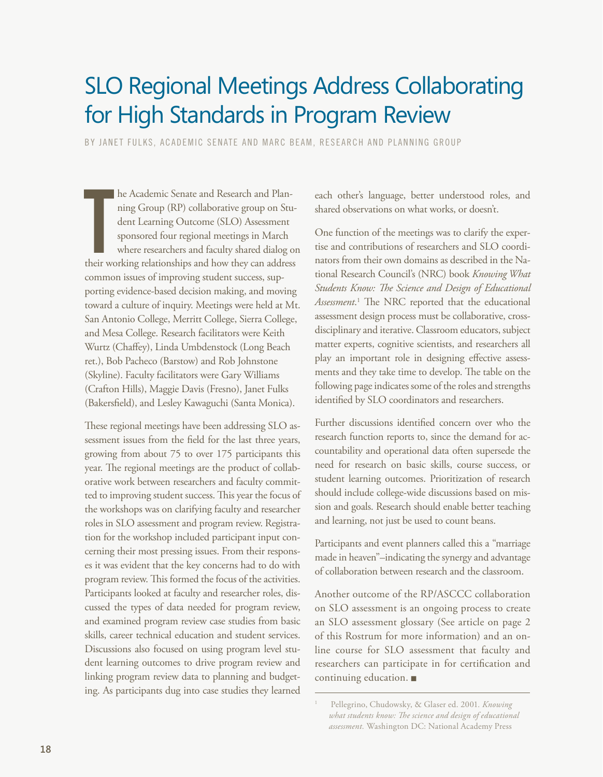## <span id="page-17-0"></span>SLO Regional Meetings Address Collaborating for High Standards in Program Review

BY JANET FULKS, ACADEMIC SENATE AND MARC BEAM, RESEARCH AND PLANNING GROUP

he Academic Senate and Research and Planning Group (RP) collaborative group on Student Learning Outcome (SLO) Assessment sponsored four regional meetings in March where researchers and faculty shared dialog or their workin he Academic Senate and Research and Planning Group (RP) collaborative group on Student Learning Outcome (SLO) Assessment sponsored four regional meetings in March where researchers and faculty shared dialog on common issues of improving student success, supporting evidence-based decision making, and moving toward a culture of inquiry. Meetings were held at Mt. San Antonio College, Merritt College, Sierra College, and Mesa College. Research facilitators were Keith Wurtz (Chaffey), Linda Umbdenstock (Long Beach ret.), Bob Pacheco (Barstow) and Rob Johnstone (Skyline). Faculty facilitators were Gary Williams (Crafton Hills), Maggie Davis (Fresno), Janet Fulks (Bakersfield), and Lesley Kawaguchi (Santa Monica).

These regional meetings have been addressing SLO assessment issues from the field for the last three years, growing from about 75 to over 175 participants this year. The regional meetings are the product of collaborative work between researchers and faculty committed to improving student success. This year the focus of the workshops was on clarifying faculty and researcher roles in SLO assessment and program review. Registration for the workshop included participant input concerning their most pressing issues. From their responses it was evident that the key concerns had to do with program review. This formed the focus of the activities. Participants looked at faculty and researcher roles, discussed the types of data needed for program review, and examined program review case studies from basic skills, career technical education and student services. Discussions also focused on using program level student learning outcomes to drive program review and linking program review data to planning and budgeting. As participants dug into case studies they learned each other's language, better understood roles, and shared observations on what works, or doesn't.

One function of the meetings was to clarify the expertise and contributions of researchers and SLO coordinators from their own domains as described in the National Research Council's (NRC) book *Knowing What Students Know: The Science and Design of Educational Assessment*. 1 The NRC reported that the educational assessment design process must be collaborative, crossdisciplinary and iterative. Classroom educators, subject matter experts, cognitive scientists, and researchers all play an important role in designing effective assessments and they take time to develop. The table on the following page indicates some of the roles and strengths identified by SLO coordinators and researchers.

Further discussions identified concern over who the research function reports to, since the demand for accountability and operational data often supersede the need for research on basic skills, course success, or student learning outcomes. Prioritization of research should include college-wide discussions based on mission and goals. Research should enable better teaching and learning, not just be used to count beans.

Participants and event planners called this a "marriage made in heaven"–indicating the synergy and advantage of collaboration between research and the classroom.

Another outcome of the RP/ASCCC collaboration on SLO assessment is an ongoing process to create an SLO assessment glossary (See article on page 2 of this Rostrum for more information) and an online course for SLO assessment that faculty and researchers can participate in for certification and continuing education.

<sup>1</sup> Pellegrino, Chudowsky, & Glaser ed. 2001*. Knowing what students know: The science and design of educational assessment.* Washington DC: National Academy Press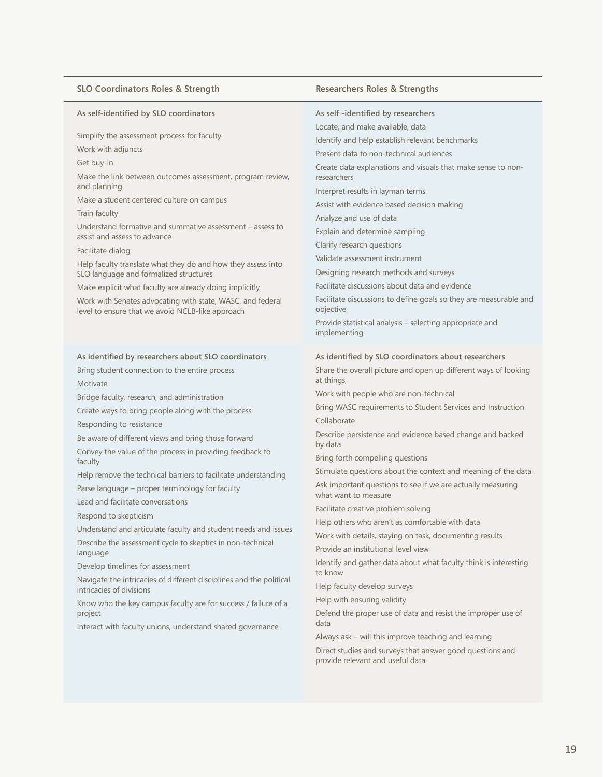### **SLO Coordinators Roles & Strength Researchers Roles & Strengths**

#### **As self-identified by SLO coordinators**

Simplify the assessment process for faculty

Work with adjuncts

Get buy-in

Make the link between outcomes assessment, program review, and planning

Make a student centered culture on campus

Train faculty

Understand formative and summative assessment – assess to assist and assess to advance

#### Facilitate dialog

Help faculty translate what they do and how they assess into SLO language and formalized structures

Make explicit what faculty are already doing implicitly

Work with Senates advocating with state, WASC, and federal level to ensure that we avoid NCLB-like approach

#### **As identified by researchers about SLO coordinators**

Bring student connection to the entire process Motivate

Bridge faculty, research, and administration

Create ways to bring people along with the process Responding to resistance

Be aware of different views and bring those forward

Convey the value of the process in providing feedback to faculty

Help remove the technical barriers to facilitate understanding

Parse language – proper terminology for faculty

Lead and facilitate conversations

Respond to skepticism

Understand and articulate faculty and student needs and issues

Describe the assessment cycle to skeptics in non-technical language

Develop timelines for assessment

Navigate the intricacies of different disciplines and the political intricacies of divisions

Know who the key campus faculty are for success / failure of a project

Interact with faculty unions, understand shared governance

#### **As self -identified by researchers**

Locate, and make available, data

Identify and help establish relevant benchmarks

Present data to non-technical audiences

Create data explanations and visuals that make sense to nonresearchers

Interpret results in layman terms

Assist with evidence based decision making

Analyze and use of data

Explain and determine sampling

Clarify research questions

Validate assessment instrument

Designing research methods and surveys

Facilitate discussions about data and evidence

Facilitate discussions to define goals so they are measurable and objective

Provide statistical analysis – selecting appropriate and implementing

#### **As identified by SLO coordinators about researchers**

Share the overall picture and open up different ways of looking at things,

Work with people who are non-technical

Bring WASC requirements to Student Services and Instruction Collaborate

Describe persistence and evidence based change and backed by data

Bring forth compelling questions

Stimulate questions about the context and meaning of the data

Ask important questions to see if we are actually measuring what want to measure

Facilitate creative problem solving

Help others who aren't as comfortable with data

Work with details, staying on task, documenting results

Provide an institutional level view

Identify and gather data about what faculty think is interesting to know

Help faculty develop surveys

Help with ensuring validity

Defend the proper use of data and resist the improper use of data

Always ask – will this improve teaching and learning

Direct studies and surveys that answer good questions and provide relevant and useful data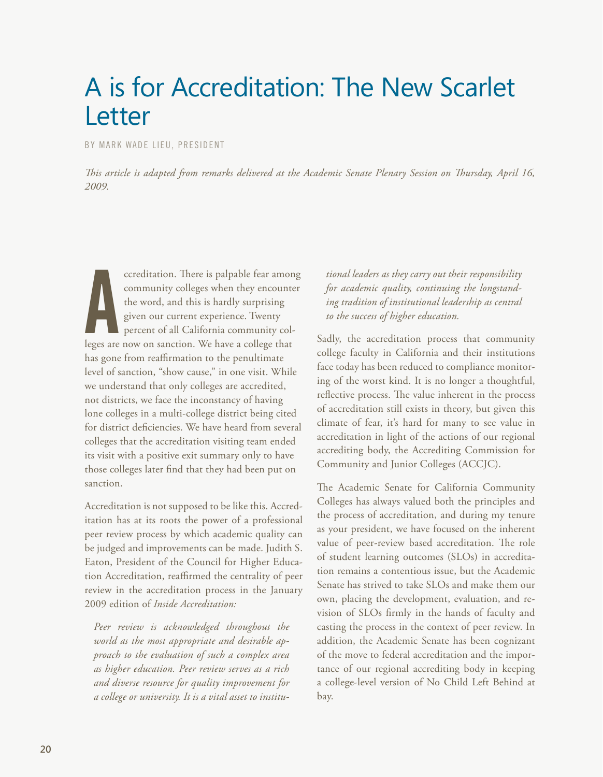# <span id="page-19-0"></span>A is for Accreditation: The New Scarlet Letter

BY MARK WADE LIEU, PRESIDENT

*This article is adapted from remarks delivered at the Academic Senate Plenary Session on Thursday, April 16, 2009.*

ccreditation. There is palpable fear amon<br>community colleges when they encounte<br>the word, and this is hardly surprising<br>given our current experience. Twenty<br>percent of all California community col-<br>leges are now on sanctio ccreditation. There is palpable fear among community colleges when they encounter the word, and this is hardly surprising given our current experience. Twenty percent of all California community colhas gone from reaffirmation to the penultimate level of sanction, "show cause," in one visit. While we understand that only colleges are accredited, not districts, we face the inconstancy of having lone colleges in a multi-college district being cited for district deficiencies. We have heard from several colleges that the accreditation visiting team ended its visit with a positive exit summary only to have those colleges later find that they had been put on sanction.

Accreditation is not supposed to be like this. Accreditation has at its roots the power of a professional peer review process by which academic quality can be judged and improvements can be made. Judith S. Eaton, President of the Council for Higher Education Accreditation, reaffirmed the centrality of peer review in the accreditation process in the January 2009 edition of *Inside Accreditation:*

*Peer review is acknowledged throughout the world as the most appropriate and desirable approach to the evaluation of such a complex area as higher education. Peer review serves as a rich and diverse resource for quality improvement for a college or university. It is a vital asset to institu-*

*tional leaders as they carry out their responsibility for academic quality, continuing the longstanding tradition of institutional leadership as central to the success of higher education.*

Sadly, the accreditation process that community college faculty in California and their institutions face today has been reduced to compliance monitoring of the worst kind. It is no longer a thoughtful, reflective process. The value inherent in the process of accreditation still exists in theory, but given this climate of fear, it's hard for many to see value in accreditation in light of the actions of our regional accrediting body, the Accrediting Commission for Community and Junior Colleges (ACCJC).

The Academic Senate for California Community Colleges has always valued both the principles and the process of accreditation, and during my tenure as your president, we have focused on the inherent value of peer-review based accreditation. The role of student learning outcomes (SLOs) in accreditation remains a contentious issue, but the Academic Senate has strived to take SLOs and make them our own, placing the development, evaluation, and revision of SLOs firmly in the hands of faculty and casting the process in the context of peer review. In addition, the Academic Senate has been cognizant of the move to federal accreditation and the importance of our regional accrediting body in keeping a college-level version of No Child Left Behind at bay.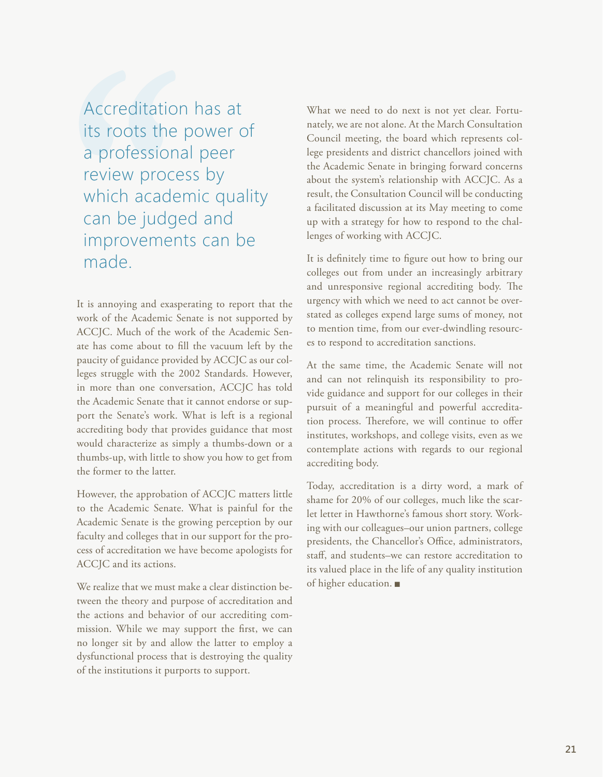Accreditation has at its roots the power of a professional peer review process by which academic quality can be judged and improvements can be made.

It is annoying and exasperating to report that the work of the Academic Senate is not supported by ACCJC. Much of the work of the Academic Senate has come about to fill the vacuum left by the paucity of guidance provided by ACCJC as our colleges struggle with the 2002 Standards. However, in more than one conversation, ACCJC has told the Academic Senate that it cannot endorse or support the Senate's work. What is left is a regional accrediting body that provides guidance that most would characterize as simply a thumbs-down or a thumbs-up, with little to show you how to get from the former to the latter.

However, the approbation of ACCJC matters little to the Academic Senate. What is painful for the Academic Senate is the growing perception by our faculty and colleges that in our support for the process of accreditation we have become apologists for ACCJC and its actions.

We realize that we must make a clear distinction between the theory and purpose of accreditation and the actions and behavior of our accrediting commission. While we may support the first, we can no longer sit by and allow the latter to employ a dysfunctional process that is destroying the quality of the institutions it purports to support.

What we need to do next is not yet clear. Fortunately, we are not alone. At the March Consultation Council meeting, the board which represents college presidents and district chancellors joined with the Academic Senate in bringing forward concerns about the system's relationship with ACCJC. As a result, the Consultation Council will be conducting a facilitated discussion at its May meeting to come up with a strategy for how to respond to the challenges of working with ACCJC.

It is definitely time to figure out how to bring our colleges out from under an increasingly arbitrary and unresponsive regional accrediting body. The urgency with which we need to act cannot be overstated as colleges expend large sums of money, not to mention time, from our ever-dwindling resources to respond to accreditation sanctions.

At the same time, the Academic Senate will not and can not relinquish its responsibility to provide guidance and support for our colleges in their pursuit of a meaningful and powerful accreditation process. Therefore, we will continue to offer institutes, workshops, and college visits, even as we contemplate actions with regards to our regional accrediting body.

Today, accreditation is a dirty word, a mark of shame for 20% of our colleges, much like the scarlet letter in Hawthorne's famous short story. Working with our colleagues–our union partners, college presidents, the Chancellor's Office, administrators, staff, and students–we can restore accreditation to its valued place in the life of any quality institution of higher education.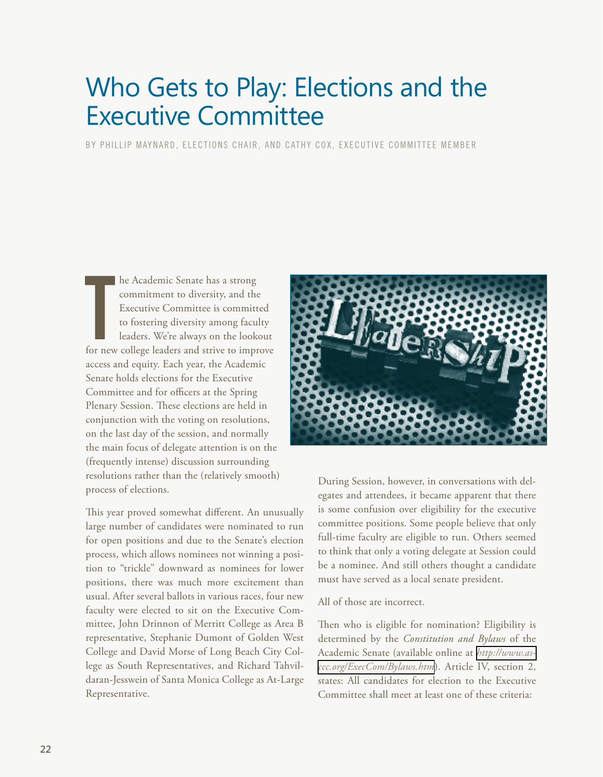# <span id="page-21-0"></span>Who Gets to Play: Elections and the Executive Committee

BY PHILLIP MAYNARD, ELECTIONS CHAIR, AND CATHY COX, EXECUTIVE COMMITTEE MEMBER

he Academic Senate has a strong<br>commitment to diversity, and the<br>Executive Committee is committed<br>to fostering diversity among faculty<br>leaders. We're always on the lookout<br>for new college leaders and strive to improve he Academic Senate has a strong commitment to diversity, and the Executive Committee is committed to fostering diversity among faculty leaders. We're always on the lookout access and equity. Each year, the Academic Senate holds elections for the Executive Committee and for officers at the Spring Plenary Session. These elections are held in conjunction with the voting on resolutions, on the last day of the session, and normally the main focus of delegate attention is on the (frequently intense) discussion surrounding resolutions rather than the (relatively smooth) process of elections.

This year proved somewhat different. An unusually large number of candidates were nominated to run for open positions and due to the Senate's election process, which allows nominees not winning a position to "trickle" downward as nominees for lower positions, there was much more excitement than usual. After several ballots in various races, four new faculty were elected to sit on the Executive Committee, John Drinnon of Merritt College as Area B representative, Stephanie Dumont of Golden West College and David Morse of Long Beach City College as South Representatives, and Richard Tahvildaran-Jesswein of Santa Monica College as At-Large Representative.



During Session, however, in conversations with delegates and attendees, it became apparent that there is some confusion over eligibility for the executive committee positions. Some people believe that only full-time faculty are eligible to run. Others seemed to think that only a voting delegate at Session could be a nominee. And still others thought a candidate must have served as a local senate president.

All of those are incorrect.

Then who is eligible for nomination? Eligibility is determined by the *Constitution and Bylaws* of the Academic Senate (available online at *[http://www.as](http://www.asccc.org/ExecCom/Bylaws.htm)[ccc.org/ExecCom/Bylaws.htm](http://www.asccc.org/ExecCom/Bylaws.htm)*). Article IV, section 2, states: All candidates for election to the Executive Committee shall meet at least one of these criteria: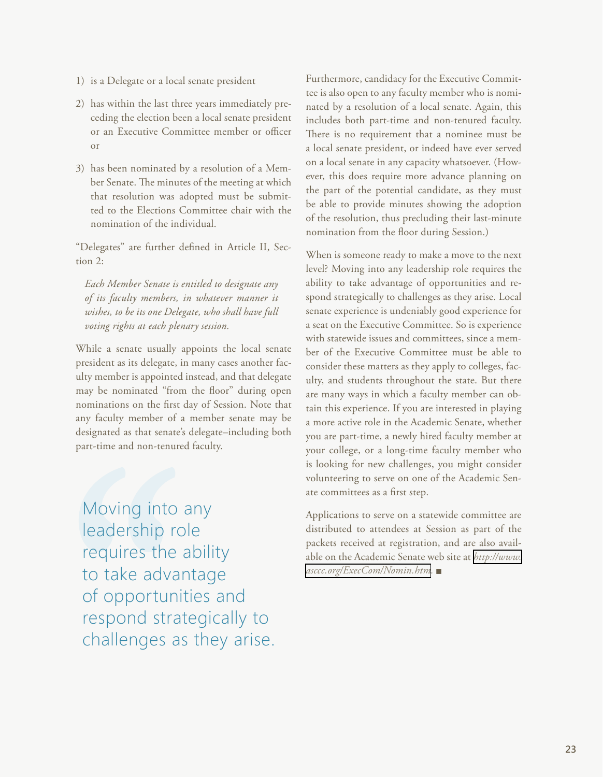- 1) is a Delegate or a local senate president
- 2) has within the last three years immediately preceding the election been a local senate president or an Executive Committee member or officer or
- 3) has been nominated by a resolution of a Member Senate. The minutes of the meeting at which that resolution was adopted must be submitted to the Elections Committee chair with the nomination of the individual.

"Delegates" are further defined in Article II, Section 2:

*Each Member Senate is entitled to designate any of its faculty members, in whatever manner it wishes, to be its one Delegate, who shall have full voting rights at each plenary session.*

While a senate usually appoints the local senate president as its delegate, in many cases another faculty member is appointed instead, and that delegate may be nominated "from the floor" during open nominations on the first day of Session. Note that any faculty member of a member senate may be designated as that senate's delegate–including both part-time and non-tenured faculty.

Moving into any leadership role requires the ability to take advantage of opportunities and respond strategically to challenges as they arise. Furthermore, candidacy for the Executive Committee is also open to any faculty member who is nominated by a resolution of a local senate. Again, this includes both part-time and non-tenured faculty. There is no requirement that a nominee must be a local senate president, or indeed have ever served on a local senate in any capacity whatsoever. (However, this does require more advance planning on the part of the potential candidate, as they must be able to provide minutes showing the adoption of the resolution, thus precluding their last-minute nomination from the floor during Session.)

When is someone ready to make a move to the next level? Moving into any leadership role requires the ability to take advantage of opportunities and respond strategically to challenges as they arise. Local senate experience is undeniably good experience for a seat on the Executive Committee. So is experience with statewide issues and committees, since a member of the Executive Committee must be able to consider these matters as they apply to colleges, faculty, and students throughout the state. But there are many ways in which a faculty member can obtain this experience. If you are interested in playing a more active role in the Academic Senate, whether you are part-time, a newly hired faculty member at your college, or a long-time faculty member who is looking for new challenges, you might consider volunteering to serve on one of the Academic Senate committees as a first step.

Applications to serve on a statewide committee are distributed to attendees at Session as part of the packets received at registration, and are also available on the Academic Senate web site at *[http://www.](http://www.asccc.org/ExecCom/Nomin.htm) [asccc.org/ExecCom/Nomin.htm](http://www.asccc.org/ExecCom/Nomin.htm).* <sup>g</sup>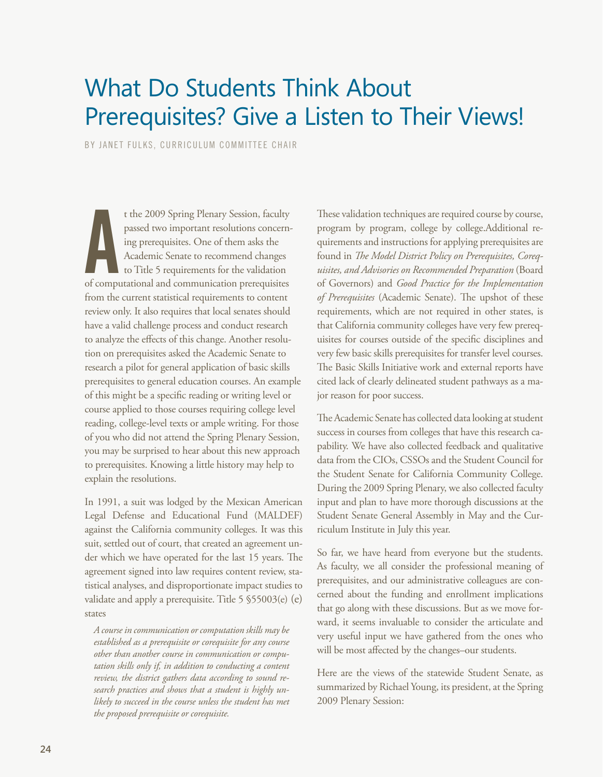## <span id="page-23-0"></span>What Do Students Think About Prerequisites? Give a Listen to Their Views!

BY JANET FULKS, CURRICULUM COMMITTEE CHAIR

t the 2009 Spring Plenary Session, faculty<br>passed two important resolutions concern-<br>ing prerequisites. One of them asks the<br>Academic Senate to recommend changes<br>to Title 5 requirements for the validation<br>of computational t the 2009 Spring Plenary Session, faculty passed two important resolutions concerning prerequisites. One of them asks the Academic Senate to recommend changes to Title 5 requirements for the validation from the current statistical requirements to content review only. It also requires that local senates should have a valid challenge process and conduct research to analyze the effects of this change. Another resolution on prerequisites asked the Academic Senate to research a pilot for general application of basic skills prerequisites to general education courses. An example of this might be a specific reading or writing level or course applied to those courses requiring college level reading, college-level texts or ample writing. For those of you who did not attend the Spring Plenary Session, you may be surprised to hear about this new approach to prerequisites. Knowing a little history may help to explain the resolutions.

In 1991, a suit was lodged by the Mexican American Legal Defense and Educational Fund (MALDEF) against the California community colleges. It was this suit, settled out of court, that created an agreement under which we have operated for the last 15 years. The agreement signed into law requires content review, statistical analyses, and disproportionate impact studies to validate and apply a prerequisite. Title 5 §55003(e) (e) states

*A course in communication or computation skills may be established as a prerequisite or corequisite for any course other than another course in communication or computation skills only if, in addition to conducting a content review, the district gathers data according to sound research practices and shows that a student is highly unlikely to succeed in the course unless the student has met the proposed prerequisite or corequisite.*

These validation techniques are required course by course, program by program, college by college.Additional requirements and instructions for applying prerequisites are found in *The Model District Policy on Prerequisites, Corequisites, and Advisories on Recommended Preparation* (Board of Governors) and *Good Practice for the Implementation of Prerequisites* (Academic Senate). The upshot of these requirements, which are not required in other states, is that California community colleges have very few prerequisites for courses outside of the specific disciplines and very few basic skills prerequisites for transfer level courses. The Basic Skills Initiative work and external reports have cited lack of clearly delineated student pathways as a major reason for poor success.

The Academic Senate has collected data looking at student success in courses from colleges that have this research capability. We have also collected feedback and qualitative data from the CIOs, CSSOs and the Student Council for the Student Senate for California Community College. During the 2009 Spring Plenary, we also collected faculty input and plan to have more thorough discussions at the Student Senate General Assembly in May and the Curriculum Institute in July this year.

So far, we have heard from everyone but the students. As faculty, we all consider the professional meaning of prerequisites, and our administrative colleagues are concerned about the funding and enrollment implications that go along with these discussions. But as we move forward, it seems invaluable to consider the articulate and very useful input we have gathered from the ones who will be most affected by the changes–our students.

Here are the views of the statewide Student Senate, as summarized by Richael Young, its president, at the Spring 2009 Plenary Session: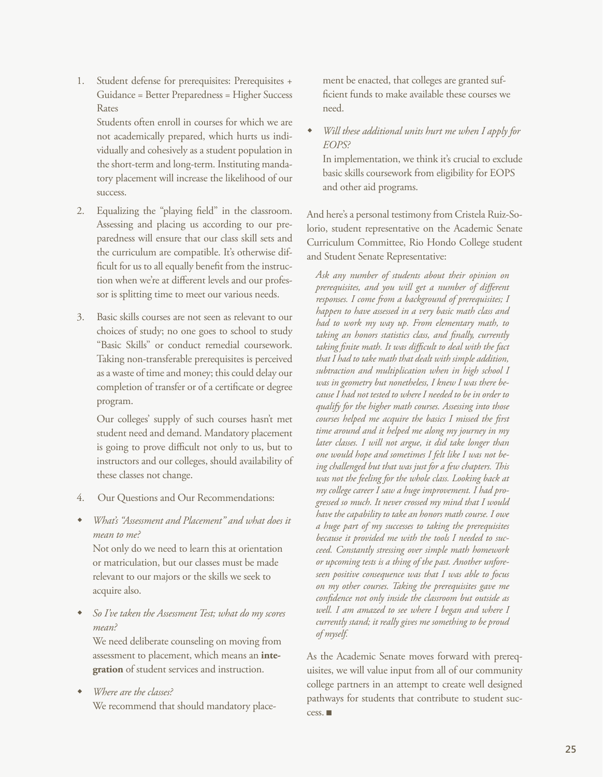1. Student defense for prerequisites: Prerequisites + Guidance = Better Preparedness = Higher Success Rates

Students often enroll in courses for which we are not academically prepared, which hurts us individually and cohesively as a student population in the short-term and long-term. Instituting mandatory placement will increase the likelihood of our success.

- 2. Equalizing the "playing field" in the classroom. Assessing and placing us according to our preparedness will ensure that our class skill sets and the curriculum are compatible. It's otherwise difficult for us to all equally benefit from the instruction when we're at different levels and our professor is splitting time to meet our various needs.
- 3. Basic skills courses are not seen as relevant to our choices of study; no one goes to school to study "Basic Skills" or conduct remedial coursework. Taking non-transferable prerequisites is perceived as a waste of time and money; this could delay our completion of transfer or of a certificate or degree program.

Our colleges' supply of such courses hasn't met student need and demand. Mandatory placement is going to prove difficult not only to us, but to instructors and our colleges, should availability of these classes not change.

- 4. Our Questions and Our Recommendations:
- w *What's "Assessment and Placement" and what does it mean to me?*

Not only do we need to learn this at orientation or matriculation, but our classes must be made relevant to our majors or the skills we seek to acquire also.

So I've taken the Assessment Test; what do my scores *mean?* 

We need deliberate counseling on moving from assessment to placement, which means an **integration** of student services and instruction.

w *Where are the classes?* 

We recommend that should mandatory place-

ment be enacted, that colleges are granted sufficient funds to make available these courses we need.

Will these additional units hurt me when I apply for *EOPS?* 

In implementation, we think it's crucial to exclude basic skills coursework from eligibility for EOPS and other aid programs.

And here's a personal testimony from Cristela Ruiz-Solorio, student representative on the Academic Senate Curriculum Committee, Rio Hondo College student and Student Senate Representative:

*Ask any number of students about their opinion on prerequisites, and you will get a number of different responses. I come from a background of prerequisites; I happen to have assessed in a very basic math class and had to work my way up. From elementary math, to taking an honors statistics class, and finally, currently taking finite math. It was difficult to deal with the fact that I had to take math that dealt with simple addition, subtraction and multiplication when in high school I was in geometry but nonetheless, I knew I was there because I had not tested to where I needed to be in order to qualify for the higher math courses. Assessing into those courses helped me acquire the basics I missed the first time around and it helped me along my journey in my later classes. I will not argue, it did take longer than one would hope and sometimes I felt like I was not being challenged but that was just for a few chapters. This was not the feeling for the whole class. Looking back at my college career I saw a huge improvement. I had progressed so much. It never crossed my mind that I would have the capability to take an honors math course. I owe a huge part of my successes to taking the prerequisites because it provided me with the tools I needed to succeed. Constantly stressing over simple math homework or upcoming tests is a thing of the past. Another unforeseen positive consequence was that I was able to focus on my other courses. Taking the prerequisites gave me confidence not only inside the classroom but outside as well. I am amazed to see where I began and where I currently stand; it really gives me something to be proud of myself.*

As the Academic Senate moves forward with prerequisites, we will value input from all of our community college partners in an attempt to create well designed pathways for students that contribute to student success.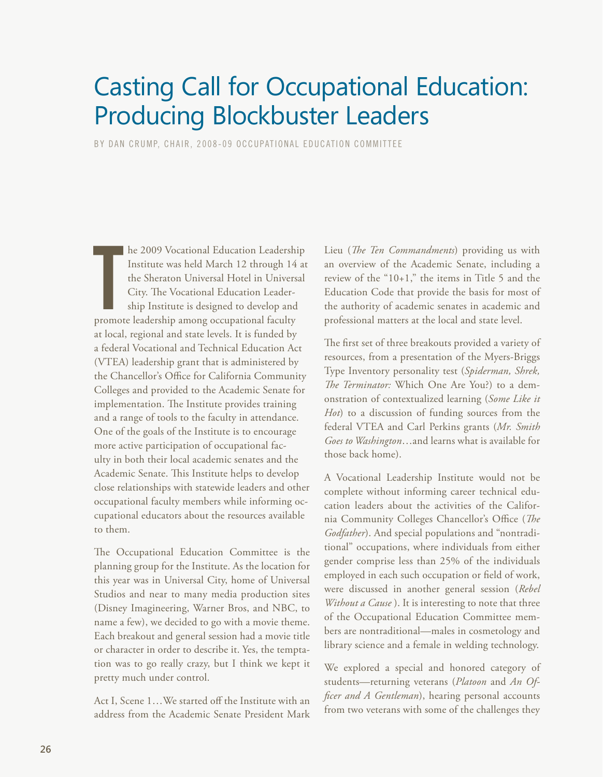## <span id="page-25-0"></span>Casting Call for Occupational Education: Producing Blockbuster Leaders

BY DAN CRUMP, CHAIR, 2008-09 OCCUPATIONAL EDUCATION COMMITTEE

he 2009 Vocational Education Leadership Institute was held March 12 through 14 the Sheraton Universal Hotel in Univers<br>City. The Vocational Education Leadership Institute is designed to develop and promote leadership among **he 2009 Vocational Education Leadership** Institute was held March 12 through 14 at the Sheraton Universal Hotel in Universal City. The Vocational Education Leadership Institute is designed to develop and at local, regional and state levels. It is funded by a federal Vocational and Technical Education Act (VTEA) leadership grant that is administered by the Chancellor's Office for California Community Colleges and provided to the Academic Senate for implementation. The Institute provides training and a range of tools to the faculty in attendance. One of the goals of the Institute is to encourage more active participation of occupational faculty in both their local academic senates and the Academic Senate. This Institute helps to develop close relationships with statewide leaders and other occupational faculty members while informing occupational educators about the resources available to them.

The Occupational Education Committee is the planning group for the Institute. As the location for this year was in Universal City, home of Universal Studios and near to many media production sites (Disney Imagineering, Warner Bros, and NBC, to name a few), we decided to go with a movie theme. Each breakout and general session had a movie title or character in order to describe it. Yes, the temptation was to go really crazy, but I think we kept it pretty much under control.

Act I, Scene 1…We started off the Institute with an address from the Academic Senate President Mark Lieu (*The Ten Commandments*) providing us with an overview of the Academic Senate, including a review of the "10+1," the items in Title 5 and the Education Code that provide the basis for most of the authority of academic senates in academic and professional matters at the local and state level.

The first set of three breakouts provided a variety of resources, from a presentation of the Myers-Briggs Type Inventory personality test (*Spiderman, Shrek, The Terminator:* Which One Are You?) to a demonstration of contextualized learning (*Some Like it Hot*) to a discussion of funding sources from the federal VTEA and Carl Perkins grants (*Mr. Smith Goes to Washington*…and learns what is available for those back home).

A Vocational Leadership Institute would not be complete without informing career technical education leaders about the activities of the California Community Colleges Chancellor's Office (*The Godfather*). And special populations and "nontraditional" occupations, where individuals from either gender comprise less than 25% of the individuals employed in each such occupation or field of work, were discussed in another general session (*Rebel Without a Cause* ). It is interesting to note that three of the Occupational Education Committee members are nontraditional—males in cosmetology and library science and a female in welding technology.

We explored a special and honored category of students—returning veterans (*Platoon* and *An Officer and A Gentleman*), hearing personal accounts from two veterans with some of the challenges they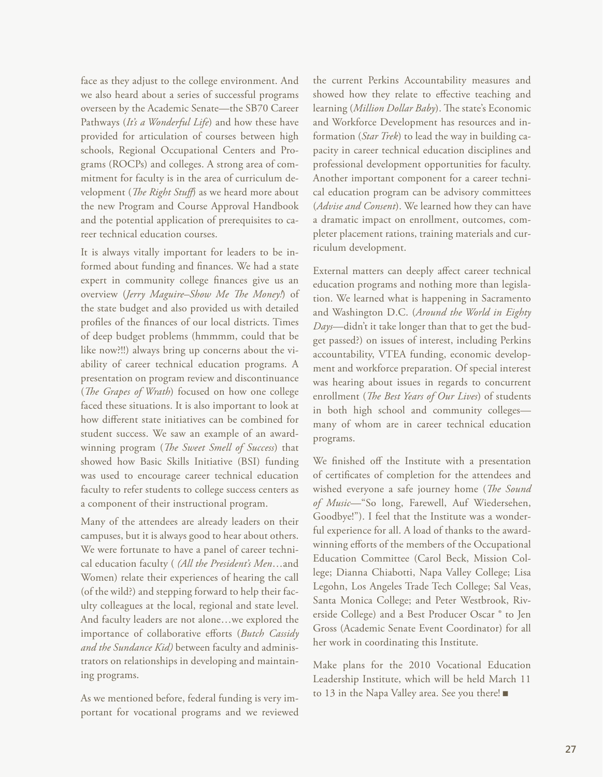face as they adjust to the college environment. And we also heard about a series of successful programs overseen by the Academic Senate—the SB70 Career Pathways (*It's a Wonderful Life*) and how these have provided for articulation of courses between high schools, Regional Occupational Centers and Programs (ROCPs) and colleges. A strong area of commitment for faculty is in the area of curriculum development (*The Right Stuff*) as we heard more about the new Program and Course Approval Handbook and the potential application of prerequisites to career technical education courses.

It is always vitally important for leaders to be informed about funding and finances. We had a state expert in community college finances give us an overview (*Jerry Maguire–Show Me The Money!*) of the state budget and also provided us with detailed profiles of the finances of our local districts. Times of deep budget problems (hmmmm, could that be like now?!!) always bring up concerns about the viability of career technical education programs. A presentation on program review and discontinuance (*The Grapes of Wrath*) focused on how one college faced these situations. It is also important to look at how different state initiatives can be combined for student success. We saw an example of an awardwinning program (*The Sweet Smell of Success*) that showed how Basic Skills Initiative (BSI) funding was used to encourage career technical education faculty to refer students to college success centers as a component of their instructional program.

Many of the attendees are already leaders on their campuses, but it is always good to hear about others. We were fortunate to have a panel of career technical education faculty ( *(All the President's Men*…and Women) relate their experiences of hearing the call (of the wild?) and stepping forward to help their faculty colleagues at the local, regional and state level. And faculty leaders are not alone…we explored the importance of collaborative efforts (*Butch Cassidy and the Sundance Kid)* between faculty and administrators on relationships in developing and maintaining programs.

As we mentioned before, federal funding is very important for vocational programs and we reviewed

the current Perkins Accountability measures and showed how they relate to effective teaching and learning (*Million Dollar Baby*). The state's Economic and Workforce Development has resources and information (*Star Trek*) to lead the way in building capacity in career technical education disciplines and professional development opportunities for faculty. Another important component for a career technical education program can be advisory committees (*Advise and Consent*). We learned how they can have a dramatic impact on enrollment, outcomes, completer placement rations, training materials and curriculum development.

External matters can deeply affect career technical education programs and nothing more than legislation. We learned what is happening in Sacramento and Washington D.C. (*Around the World in Eighty Days*—didn't it take longer than that to get the budget passed?) on issues of interest, including Perkins accountability, VTEA funding, economic development and workforce preparation. Of special interest was hearing about issues in regards to concurrent enrollment (*The Best Years of Our Lives*) of students in both high school and community colleges many of whom are in career technical education programs.

We finished off the Institute with a presentation of certificates of completion for the attendees and wished everyone a safe journey home (*The Sound of Music*—"So long, Farewell, Auf Wiedersehen, Goodbye!"). I feel that the Institute was a wonderful experience for all. A load of thanks to the awardwinning efforts of the members of the Occupational Education Committee (Carol Beck, Mission College; Dianna Chiabotti, Napa Valley College; Lisa Legohn, Los Angeles Trade Tech College; Sal Veas, Santa Monica College; and Peter Westbrook, Riverside College) and a Best Producer Oscar ® to Jen Gross (Academic Senate Event Coordinator) for all her work in coordinating this Institute.

Make plans for the 2010 Vocational Education Leadership Institute, which will be held March 11 to 13 in the Napa Valley area. See you there! ■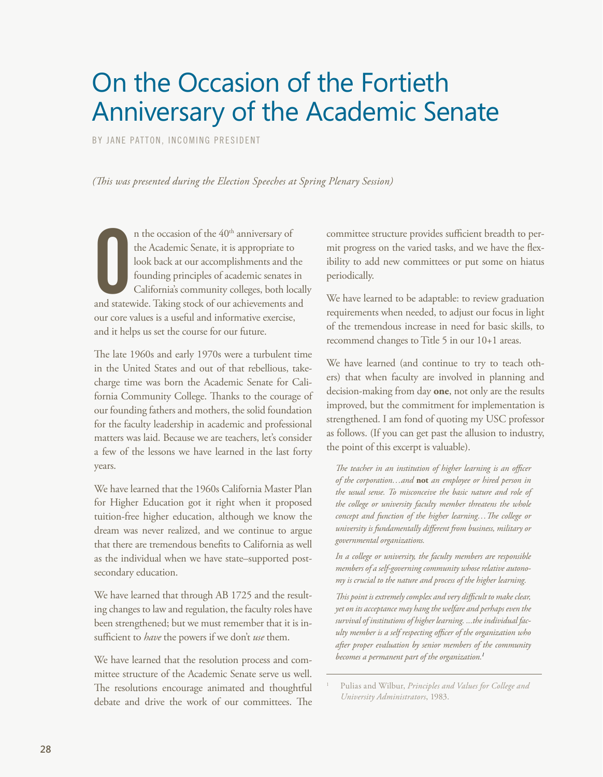# <span id="page-27-0"></span>On the Occasion of the Fortieth Anniversary of the Academic Senate

BY JANE PATTON, INCOMING PRESIDENT

*(This was presented during the Election Speeches at Spring Plenary Session)*

n the occasion of the 40<sup>th</sup> anniversary of<br>the Academic Senate, it is appropriate to<br>look back at our accomplishments and the<br>founding principles of academic senates in<br>California's community colleges, both locall<br>and sta n the occasion of the 40<sup>th</sup> anniversary of the Academic Senate, it is appropriate to look back at our accomplishments and the founding principles of academic senates in California's community colleges, both locally our core values is a useful and informative exercise, and it helps us set the course for our future.

The late 1960s and early 1970s were a turbulent time in the United States and out of that rebellious, takecharge time was born the Academic Senate for California Community College. Thanks to the courage of our founding fathers and mothers, the solid foundation for the faculty leadership in academic and professional matters was laid. Because we are teachers, let's consider a few of the lessons we have learned in the last forty years.

We have learned that the 1960s California Master Plan for Higher Education got it right when it proposed tuition-free higher education, although we know the dream was never realized, and we continue to argue that there are tremendous benefits to California as well as the individual when we have state–supported postsecondary education.

We have learned that through AB 1725 and the resulting changes to law and regulation, the faculty roles have been strengthened; but we must remember that it is insufficient to *have* the powers if we don't *use* them.

We have learned that the resolution process and committee structure of the Academic Senate serve us well. The resolutions encourage animated and thoughtful debate and drive the work of our committees. The committee structure provides sufficient breadth to permit progress on the varied tasks, and we have the flexibility to add new committees or put some on hiatus periodically.

We have learned to be adaptable: to review graduation requirements when needed, to adjust our focus in light of the tremendous increase in need for basic skills, to recommend changes to Title 5 in our 10+1 areas.

We have learned (and continue to try to teach others) that when faculty are involved in planning and decision-making from day **one**, not only are the results improved, but the commitment for implementation is strengthened. I am fond of quoting my USC professor as follows. (If you can get past the allusion to industry, the point of this excerpt is valuable).

*The teacher in an institution of higher learning is an officer of the corporation…and* **not** *an employee or hired person in the usual sense. To misconceive the basic nature and role of the college or university faculty member threatens the whole concept and function of the higher learning…The college or university is fundamentally different from business, military or governmental organizations.*

*In a college or university, the faculty members are responsible members of a self-governing community whose relative autonomy is crucial to the nature and process of the higher learning.*

*This point is extremely complex and very difficult to make clear, yet on its acceptance may hang the welfare and perhaps even the survival of institutions of higher learning. ...the individual faculty member is a self respecting officer of the organization who after proper evaluation by senior members of the community becomes a permanent part of the organization.<sup>1</sup>*

<sup>1</sup> Pulias and Wilbur, *Principles and Values for College and University Administrators*, 1983.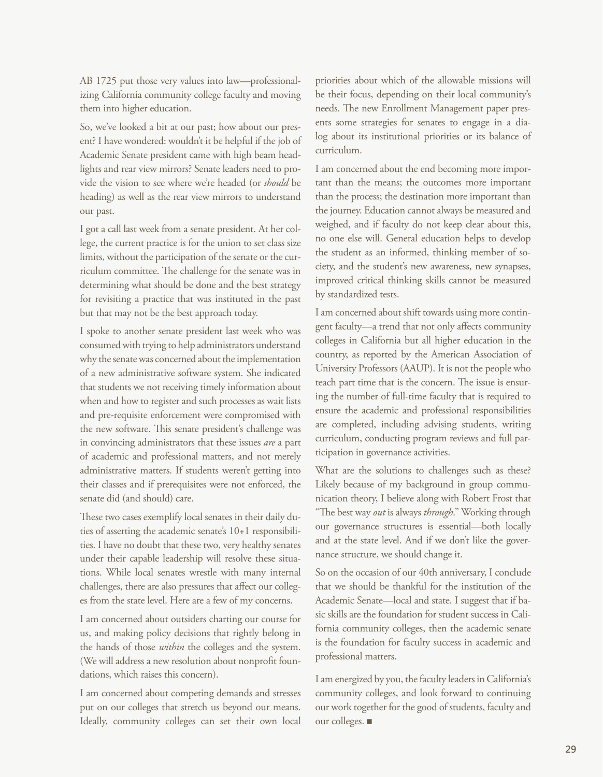AB 1725 put those very values into law—professionalizing California community college faculty and moving them into higher education.

So, we've looked a bit at our past; how about our present? I have wondered: wouldn't it be helpful if the job of Academic Senate president came with high beam headlights and rear view mirrors? Senate leaders need to provide the vision to see where we're headed (or *should* be heading) as well as the rear view mirrors to understand our past.

I got a call last week from a senate president. At her college, the current practice is for the union to set class size limits, without the participation of the senate or the curriculum committee. The challenge for the senate was in determining what should be done and the best strategy for revisiting a practice that was instituted in the past but that may not be the best approach today.

I spoke to another senate president last week who was consumed with trying to help administrators understand why the senate was concerned about the implementation of a new administrative software system. She indicated that students we not receiving timely information about when and how to register and such processes as wait lists and pre-requisite enforcement were compromised with the new software. This senate president's challenge was in convincing administrators that these issues *are* a part of academic and professional matters, and not merely administrative matters. If students weren't getting into their classes and if prerequisites were not enforced, the senate did (and should) care.

These two cases exemplify local senates in their daily duties of asserting the academic senate's 10+1 responsibilities. I have no doubt that these two, very healthy senates under their capable leadership will resolve these situations. While local senates wrestle with many internal challenges, there are also pressures that affect our colleges from the state level. Here are a few of my concerns.

I am concerned about outsiders charting our course for us, and making policy decisions that rightly belong in the hands of those *within* the colleges and the system. (We will address a new resolution about nonprofit foundations, which raises this concern).

I am concerned about competing demands and stresses put on our colleges that stretch us beyond our means. Ideally, community colleges can set their own local

priorities about which of the allowable missions will be their focus, depending on their local community's needs. The new Enrollment Management paper presents some strategies for senates to engage in a dialog about its institutional priorities or its balance of curriculum.

I am concerned about the end becoming more important than the means; the outcomes more important than the process; the destination more important than the journey. Education cannot always be measured and weighed, and if faculty do not keep clear about this, no one else will. General education helps to develop the student as an informed, thinking member of society, and the student's new awareness, new synapses, improved critical thinking skills cannot be measured by standardized tests.

I am concerned about shift towards using more contingent faculty—a trend that not only affects community colleges in California but all higher education in the country, as reported by the American Association of University Professors (AAUP). It is not the people who teach part time that is the concern. The issue is ensuring the number of full-time faculty that is required to ensure the academic and professional responsibilities are completed, including advising students, writing curriculum, conducting program reviews and full participation in governance activities.

What are the solutions to challenges such as these? Likely because of my background in group communication theory, I believe along with Robert Frost that "The best way *out* is always *through*." Working through our governance structures is essential—both locally and at the state level. And if we don't like the governance structure, we should change it.

So on the occasion of our 40th anniversary, I conclude that we should be thankful for the institution of the Academic Senate—local and state. I suggest that if basic skills are the foundation for student success in California community colleges, then the academic senate is the foundation for faculty success in academic and professional matters.

I am energized by you, the faculty leaders in California's community colleges, and look forward to continuing our work together for the good of students, faculty and our colleges. ■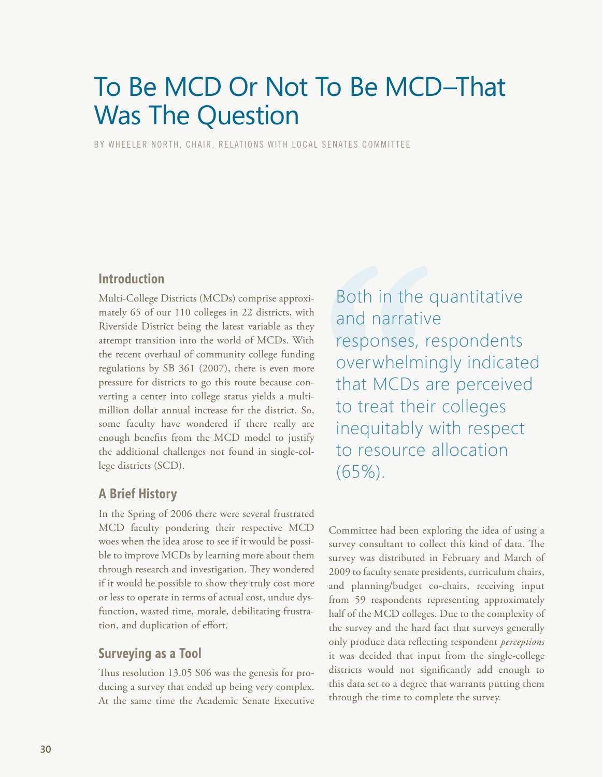# <span id="page-29-0"></span>To Be MCD Or Not To Be MCD–That Was The Question

BY WHEELER NORTH, CHAIR, RELATIONS WITH LOCAL SENATES COMMITTEE

### **Introduction**

Multi-College Districts (MCDs) comprise approximately 65 of our 110 colleges in 22 districts, with Riverside District being the latest variable as they attempt transition into the world of MCDs. With the recent overhaul of community college funding regulations by SB 361 (2007), there is even more pressure for districts to go this route because converting a center into college status yields a multimillion dollar annual increase for the district. So, some faculty have wondered if there really are enough benefits from the MCD model to justify the additional challenges not found in single-college districts (SCD).

### **A Brief History**

In the Spring of 2006 there were several frustrated MCD faculty pondering their respective MCD woes when the idea arose to see if it would be possible to improve MCDs by learning more about them through research and investigation. They wondered if it would be possible to show they truly cost more or less to operate in terms of actual cost, undue dysfunction, wasted time, morale, debilitating frustration, and duplication of effort.

### **Surveying as a Tool**

Thus resolution 13.05 S06 was the genesis for producing a survey that ended up being very complex. At the same time the Academic Senate Executive Both in the quantitative and narrative responses, respondents overwhelmingly indicated that MCDs are perceived to treat their colleges inequitably with respect to resource allocation (65%).

Committee had been exploring the idea of using a survey consultant to collect this kind of data. The survey was distributed in February and March of 2009 to faculty senate presidents, curriculum chairs, and planning/budget co-chairs, receiving input from 59 respondents representing approximately half of the MCD colleges. Due to the complexity of the survey and the hard fact that surveys generally only produce data reflecting respondent *perceptions*  it was decided that input from the single-college districts would not significantly add enough to this data set to a degree that warrants putting them through the time to complete the survey.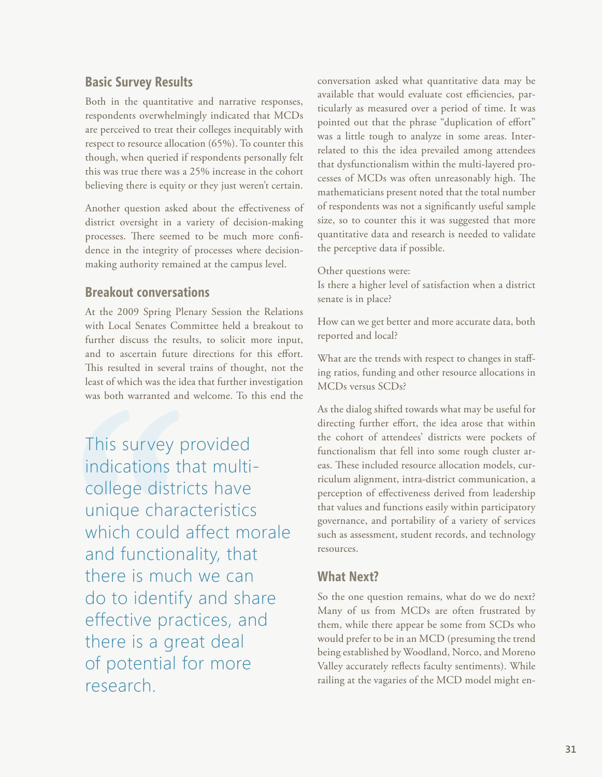## **Basic Survey Results**

Both in the quantitative and narrative responses, respondents overwhelmingly indicated that MCDs are perceived to treat their colleges inequitably with respect to resource allocation (65%). To counter this though, when queried if respondents personally felt this was true there was a 25% increase in the cohort believing there is equity or they just weren't certain.

Another question asked about the effectiveness of district oversight in a variety of decision-making processes. There seemed to be much more confidence in the integrity of processes where decisionmaking authority remained at the campus level.

### **Breakout conversations**

At the 2009 Spring Plenary Session the Relations with Local Senates Committee held a breakout to further discuss the results, to solicit more input, and to ascertain future directions for this effort. This resulted in several trains of thought, not the least of which was the idea that further investigation was both warranted and welcome. To this end the

This survey provided indications that multicollege districts have unique characteristics which could affect morale and functionality, that there is much we can do to identify and share effective practices, and there is a great deal of potential for more research.

conversation asked what quantitative data may be available that would evaluate cost efficiencies, particularly as measured over a period of time. It was pointed out that the phrase "duplication of effort" was a little tough to analyze in some areas. Interrelated to this the idea prevailed among attendees that dysfunctionalism within the multi-layered processes of MCDs was often unreasonably high. The mathematicians present noted that the total number of respondents was not a significantly useful sample size, so to counter this it was suggested that more quantitative data and research is needed to validate the perceptive data if possible.

Other questions were:

Is there a higher level of satisfaction when a district senate is in place?

How can we get better and more accurate data, both reported and local?

What are the trends with respect to changes in staffing ratios, funding and other resource allocations in MCDs versus SCDs?

As the dialog shifted towards what may be useful for directing further effort, the idea arose that within the cohort of attendees' districts were pockets of functionalism that fell into some rough cluster areas. These included resource allocation models, curriculum alignment, intra-district communication, a perception of effectiveness derived from leadership that values and functions easily within participatory governance, and portability of a variety of services such as assessment, student records, and technology resources.

## **What Next?**

So the one question remains, what do we do next? Many of us from MCDs are often frustrated by them, while there appear be some from SCDs who would prefer to be in an MCD (presuming the trend being established by Woodland, Norco, and Moreno Valley accurately reflects faculty sentiments). While railing at the vagaries of the MCD model might en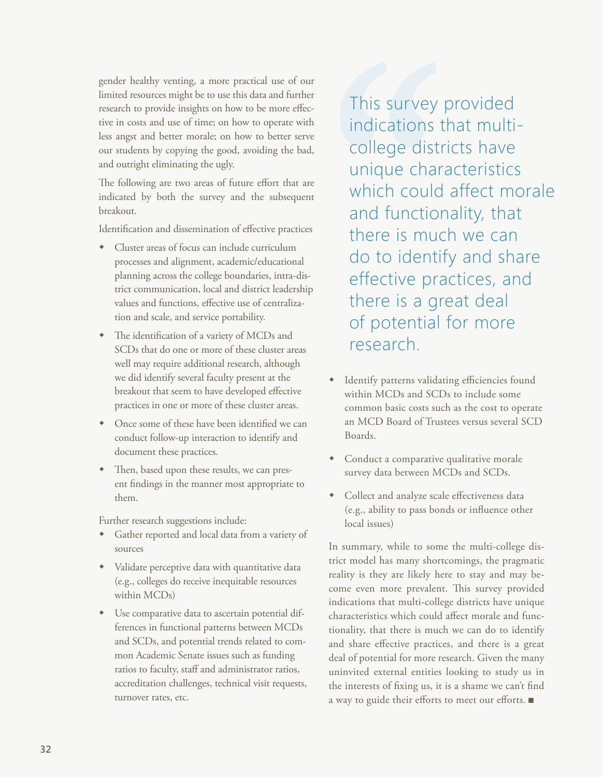gender healthy venting, a more practical use of our limited resources might be to use this data and further research to provide insights on how to be more effective in costs and use of time; on how to operate with less angst and better morale; on how to better serve our students by copying the good, avoiding the bad, and outright eliminating the ugly.

The following are two areas of future effort that are indicated by both the survey and the subsequent breakout.

Identification and dissemination of effective practices

- Cluster areas of focus can include curriculum processes and alignment, academic/educational planning across the college boundaries, intra-district communication, local and district leadership values and functions, effective use of centralization and scale, and service portability.
- w The identification of a variety of MCDs and SCDs that do one or more of these cluster areas well may require additional research, although we did identify several faculty present at the breakout that seem to have developed effective practices in one or more of these cluster areas.
- Once some of these have been identified we can conduct follow-up interaction to identify and document these practices.
- Then, based upon these results, we can present findings in the manner most appropriate to them.

Further research suggestions include:

- w Gather reported and local data from a variety of sources
- Validate perceptive data with quantitative data (e.g., colleges do receive inequitable resources within MCDs)
- $\bullet$  Use comparative data to ascertain potential differences in functional patterns between MCDs and SCDs, and potential trends related to common Academic Senate issues such as funding ratios to faculty, staff and administrator ratios, accreditation challenges, technical visit requests, turnover rates, etc.

This survey provided indications that multicollege districts have unique characteristics which could affect morale and functionality, that there is much we can do to identify and share effective practices, and there is a great deal of potential for more research.

- Identify patterns validating efficiencies found within MCDs and SCDs to include some common basic costs such as the cost to operate an MCD Board of Trustees versus several SCD Boards.
- Conduct a comparative qualitative morale survey data between MCDs and SCDs.
- Collect and analyze scale effectiveness data (e.g., ability to pass bonds or influence other local issues)

In summary, while to some the multi-college district model has many shortcomings, the pragmatic reality is they are likely here to stay and may become even more prevalent. This survey provided indications that multi-college districts have unique characteristics which could affect morale and functionality, that there is much we can do to identify and share effective practices, and there is a great deal of potential for more research. Given the many uninvited external entities looking to study us in the interests of fixing us, it is a shame we can't find a way to guide their efforts to meet our efforts.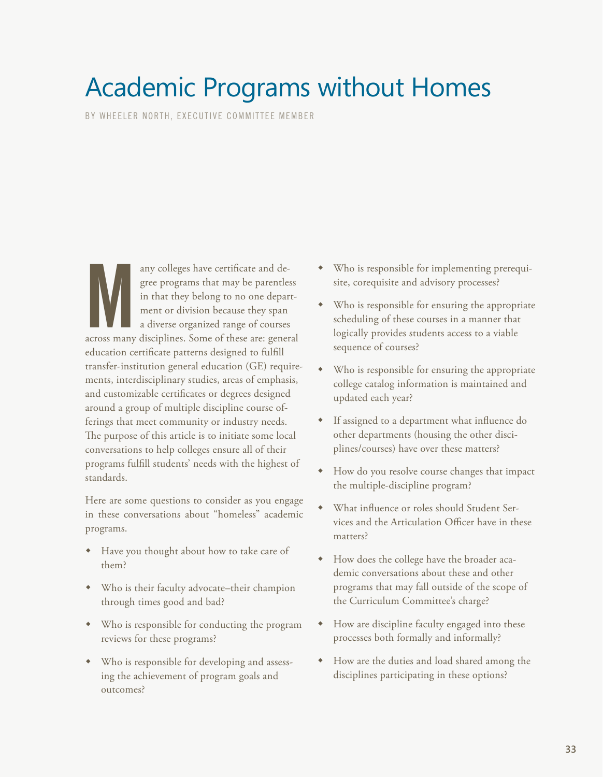# <span id="page-32-0"></span>Academic Programs without Homes

BY WHEELER NORTH, EXECUTIVE COMMITTEE MEMBER

any colleges have certificate and degree programs that may be parentless<br>in that they belong to no one depart-<br>ment or division because they span<br>a diverse organized range of courses<br>across many disciplines. Some of these any colleges have certificate and degree programs that may be parentless in that they belong to no one department or division because they span a diverse organized range of courses education certificate patterns designed to fulfill transfer-institution general education (GE) requirements, interdisciplinary studies, areas of emphasis, and customizable certificates or degrees designed around a group of multiple discipline course offerings that meet community or industry needs. The purpose of this article is to initiate some local conversations to help colleges ensure all of their programs fulfill students' needs with the highest of standards.

Here are some questions to consider as you engage in these conversations about "homeless" academic programs.

- Have you thought about how to take care of them?
- Who is their faculty advocate–their champion through times good and bad?
- Who is responsible for conducting the program reviews for these programs?
- Who is responsible for developing and assessing the achievement of program goals and outcomes?
- Who is responsible for implementing prerequisite, corequisite and advisory processes?
- Who is responsible for ensuring the appropriate scheduling of these courses in a manner that logically provides students access to a viable sequence of courses?
- Who is responsible for ensuring the appropriate college catalog information is maintained and updated each year?
- If assigned to a department what influence do other departments (housing the other disciplines/courses) have over these matters?
- How do you resolve course changes that impact the multiple-discipline program?
- What influence or roles should Student Services and the Articulation Officer have in these matters?
- w How does the college have the broader academic conversations about these and other programs that may fall outside of the scope of the Curriculum Committee's charge?
- How are discipline faculty engaged into these processes both formally and informally?
- How are the duties and load shared among the disciplines participating in these options?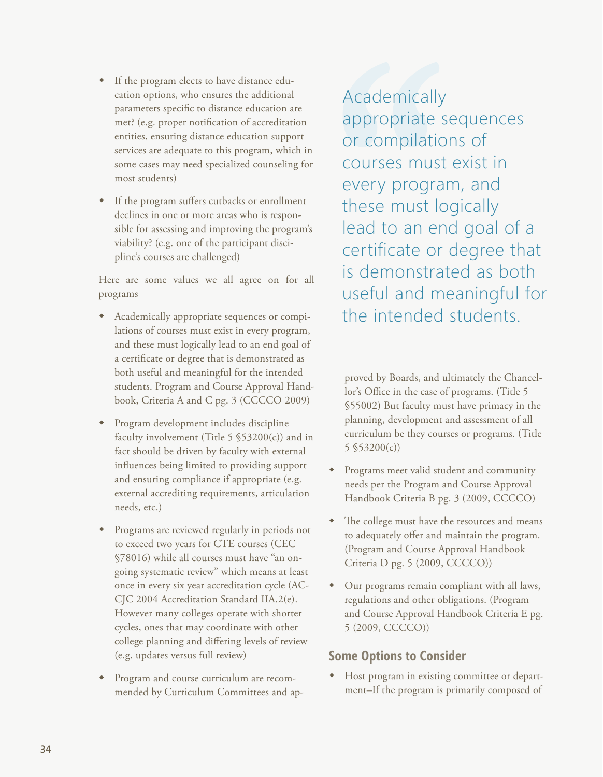- If the program elects to have distance education options, who ensures the additional parameters specific to distance education are met? (e.g. proper notification of accreditation entities, ensuring distance education support services are adequate to this program, which in some cases may need specialized counseling for most students)
- If the program suffers cutbacks or enrollment declines in one or more areas who is responsible for assessing and improving the program's viability? (e.g. one of the participant discipline's courses are challenged)

Here are some values we all agree on for all programs

- w Academically appropriate sequences or compilations of courses must exist in every program, and these must logically lead to an end goal of a certificate or degree that is demonstrated as both useful and meaningful for the intended students. Program and Course Approval Handbook, Criteria A and C pg. 3 (CCCCO 2009)
- Program development includes discipline faculty involvement (Title  $5$  \$53200(c)) and in fact should be driven by faculty with external influences being limited to providing support and ensuring compliance if appropriate (e.g. external accrediting requirements, articulation needs, etc.)
- Programs are reviewed regularly in periods not to exceed two years for CTE courses (CEC §78016) while all courses must have "an ongoing systematic review" which means at least once in every six year accreditation cycle (AC-CJC 2004 Accreditation Standard IIA.2(e). However many colleges operate with shorter cycles, ones that may coordinate with other college planning and differing levels of review (e.g. updates versus full review)
- Program and course curriculum are recommended by Curriculum Committees and ap-

Academically appropriate sequences or compilations of courses must exist in every program, and these must logically lead to an end goal of a certificate or degree that is demonstrated as both useful and meaningful for the intended students.

proved by Boards, and ultimately the Chancellor's Office in the case of programs. (Title 5 §55002) But faculty must have primacy in the planning, development and assessment of all curriculum be they courses or programs. (Title 5 §53200(c))

- w Programs meet valid student and community needs per the Program and Course Approval Handbook Criteria B pg. 3 (2009, CCCCO)
- The college must have the resources and means to adequately offer and maintain the program. (Program and Course Approval Handbook Criteria D pg. 5 (2009, CCCCO))
- Our programs remain compliant with all laws, regulations and other obligations. (Program and Course Approval Handbook Criteria E pg. 5 (2009, CCCCO))

## **Some Options to Consider**

 $\bullet$  Host program in existing committee or department–If the program is primarily composed of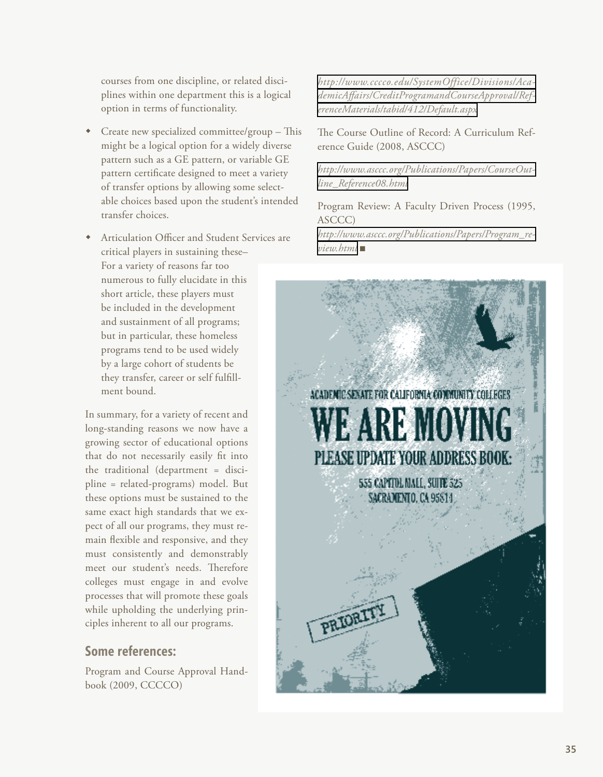courses from one discipline, or related disciplines within one department this is a logical option in terms of functionality.

- Create new specialized committee/group This might be a logical option for a widely diverse pattern such as a GE pattern, or variable GE pattern certificate designed to meet a variety of transfer options by allowing some selectable choices based upon the student's intended transfer choices.
- Articulation Officer and Student Services are critical players in sustaining these– For a variety of reasons far too numerous to fully elucidate in this short article, these players must be included in the development and sustainment of all programs; but in particular, these homeless programs tend to be used widely by a large cohort of students be they transfer, career or self fulfillment bound.

In summary, for a variety of recent and long-standing reasons we now have a growing sector of educational options that do not necessarily easily fit into the traditional (department = discipline = related-programs) model. But these options must be sustained to the same exact high standards that we expect of all our programs, they must remain flexible and responsive, and they must consistently and demonstrably meet our student's needs. Therefore colleges must engage in and evolve processes that will promote these goals while upholding the underlying principles inherent to all our programs.

### **Some references:**

Program and Course Approval Handbook (2009, CCCCO)

*[http://www.cccco.edu/SystemOffice/Divisions/Aca](http://www.cccco.edu/SystemOffice/Divisions/AcademicAffairs/CreditProgramandCourseApproval/ReferenceMaterials/tabid/412/Default.aspx)[demicAffairs/CreditProgramandCourseApproval/Ref](http://www.cccco.edu/SystemOffice/Divisions/AcademicAffairs/CreditProgramandCourseApproval/ReferenceMaterials/tabid/412/Default.aspx)[erenceMaterials/tabid/412/Default.aspx](http://www.cccco.edu/SystemOffice/Divisions/AcademicAffairs/CreditProgramandCourseApproval/ReferenceMaterials/tabid/412/Default.aspx)*

The Course Outline of Record: A Curriculum Reference Guide (2008, ASCCC)

*[http://www.asccc.org/Publications/Papers/CourseOut](http://www.asccc.org/Publications/Papers/CourseOutline_Reference08.html)[line\\_Reference08.html](http://www.asccc.org/Publications/Papers/CourseOutline_Reference08.html)*

Program Review: A Faculty Driven Process (1995, ASCCC)

*[http://www.asccc.org/Publications/Papers/Program\\_re](http://www.asccc.org/Publications/Papers/Program_review.html)[view.html](http://www.asccc.org/Publications/Papers/Program_review.html)* <sup>g</sup>